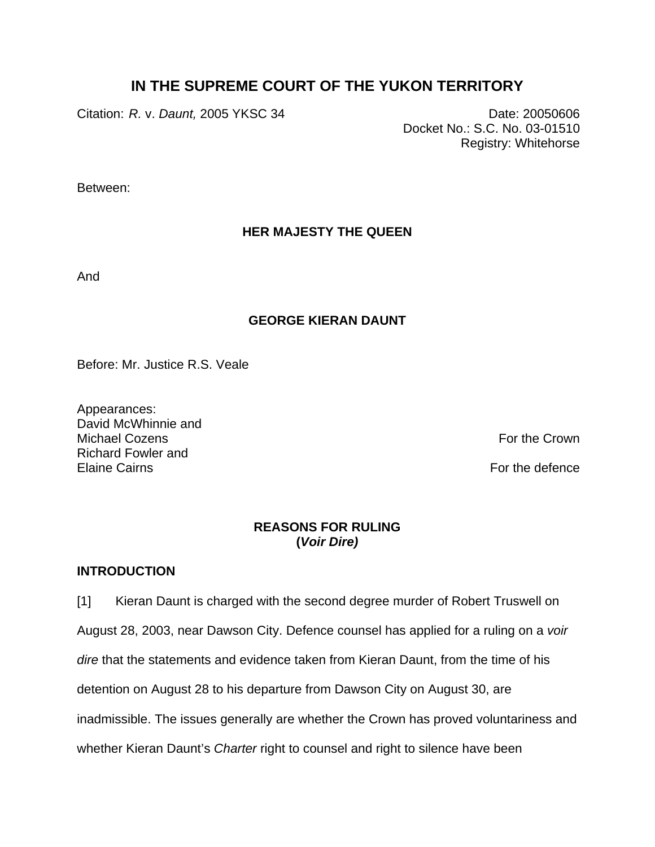# **IN THE SUPREME COURT OF THE YUKON TERRITORY**

Citation: *R.* v. *Daunt,* 2005 YKSC 34 Date: 20050606

Docket No.: S.C. No. 03-01510 Registry: Whitehorse

Between:

# **HER MAJESTY THE QUEEN**

And

## **GEORGE KIERAN DAUNT**

Before: Mr. Justice R.S. Veale

Appearances: David McWhinnie and Michael Cozens **For the Crown** Richard Fowler and Elaine Cairns For the defence Form of the defence Form of the defence Form of the defence

## **REASONS FOR RULING (***Voir Dire)*

## **INTRODUCTION**

[1] Kieran Daunt is charged with the second degree murder of Robert Truswell on August 28, 2003, near Dawson City. Defence counsel has applied for a ruling on a *voir dire* that the statements and evidence taken from Kieran Daunt, from the time of his detention on August 28 to his departure from Dawson City on August 30, are inadmissible. The issues generally are whether the Crown has proved voluntariness and whether Kieran Daunt's *Charter* right to counsel and right to silence have been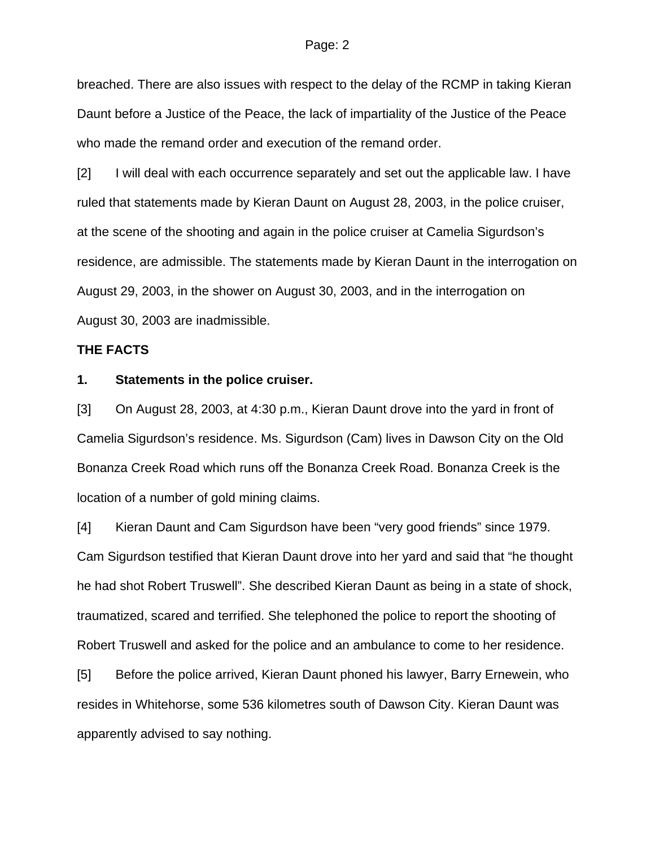breached. There are also issues with respect to the delay of the RCMP in taking Kieran Daunt before a Justice of the Peace, the lack of impartiality of the Justice of the Peace who made the remand order and execution of the remand order.

[2] I will deal with each occurrence separately and set out the applicable law. I have ruled that statements made by Kieran Daunt on August 28, 2003, in the police cruiser, at the scene of the shooting and again in the police cruiser at Camelia Sigurdson's residence, are admissible. The statements made by Kieran Daunt in the interrogation on August 29, 2003, in the shower on August 30, 2003, and in the interrogation on August 30, 2003 are inadmissible.

### **THE FACTS**

#### **1. Statements in the police cruiser.**

[3] On August 28, 2003, at 4:30 p.m., Kieran Daunt drove into the yard in front of Camelia Sigurdson's residence. Ms. Sigurdson (Cam) lives in Dawson City on the Old Bonanza Creek Road which runs off the Bonanza Creek Road. Bonanza Creek is the location of a number of gold mining claims.

[4] Kieran Daunt and Cam Sigurdson have been "very good friends" since 1979. Cam Sigurdson testified that Kieran Daunt drove into her yard and said that "he thought he had shot Robert Truswell". She described Kieran Daunt as being in a state of shock, traumatized, scared and terrified. She telephoned the police to report the shooting of Robert Truswell and asked for the police and an ambulance to come to her residence.

[5] Before the police arrived, Kieran Daunt phoned his lawyer, Barry Ernewein, who resides in Whitehorse, some 536 kilometres south of Dawson City. Kieran Daunt was apparently advised to say nothing.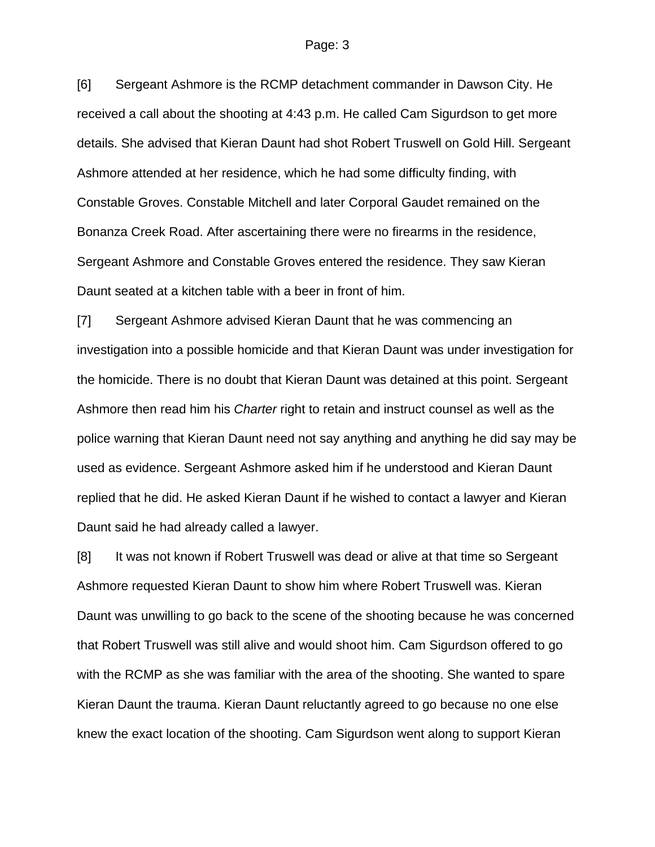[6] Sergeant Ashmore is the RCMP detachment commander in Dawson City. He received a call about the shooting at 4:43 p.m. He called Cam Sigurdson to get more details. She advised that Kieran Daunt had shot Robert Truswell on Gold Hill. Sergeant Ashmore attended at her residence, which he had some difficulty finding, with Constable Groves. Constable Mitchell and later Corporal Gaudet remained on the Bonanza Creek Road. After ascertaining there were no firearms in the residence, Sergeant Ashmore and Constable Groves entered the residence. They saw Kieran Daunt seated at a kitchen table with a beer in front of him.

[7] Sergeant Ashmore advised Kieran Daunt that he was commencing an investigation into a possible homicide and that Kieran Daunt was under investigation for the homicide. There is no doubt that Kieran Daunt was detained at this point. Sergeant Ashmore then read him his *Charter* right to retain and instruct counsel as well as the police warning that Kieran Daunt need not say anything and anything he did say may be used as evidence. Sergeant Ashmore asked him if he understood and Kieran Daunt replied that he did. He asked Kieran Daunt if he wished to contact a lawyer and Kieran Daunt said he had already called a lawyer.

[8] It was not known if Robert Truswell was dead or alive at that time so Sergeant Ashmore requested Kieran Daunt to show him where Robert Truswell was. Kieran Daunt was unwilling to go back to the scene of the shooting because he was concerned that Robert Truswell was still alive and would shoot him. Cam Sigurdson offered to go with the RCMP as she was familiar with the area of the shooting. She wanted to spare Kieran Daunt the trauma. Kieran Daunt reluctantly agreed to go because no one else knew the exact location of the shooting. Cam Sigurdson went along to support Kieran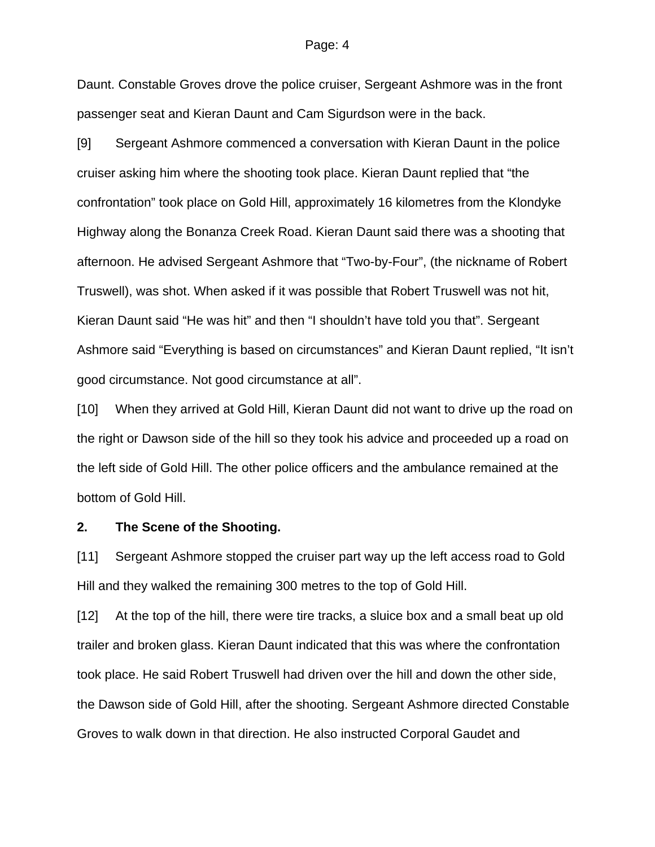Daunt. Constable Groves drove the police cruiser, Sergeant Ashmore was in the front passenger seat and Kieran Daunt and Cam Sigurdson were in the back.

[9] Sergeant Ashmore commenced a conversation with Kieran Daunt in the police cruiser asking him where the shooting took place. Kieran Daunt replied that "the confrontation" took place on Gold Hill, approximately 16 kilometres from the Klondyke Highway along the Bonanza Creek Road. Kieran Daunt said there was a shooting that afternoon. He advised Sergeant Ashmore that "Two-by-Four", (the nickname of Robert Truswell), was shot. When asked if it was possible that Robert Truswell was not hit, Kieran Daunt said "He was hit" and then "I shouldn't have told you that". Sergeant Ashmore said "Everything is based on circumstances" and Kieran Daunt replied, "It isn't good circumstance. Not good circumstance at all".

[10] When they arrived at Gold Hill, Kieran Daunt did not want to drive up the road on the right or Dawson side of the hill so they took his advice and proceeded up a road on the left side of Gold Hill. The other police officers and the ambulance remained at the bottom of Gold Hill.

### **2. The Scene of the Shooting.**

[11] Sergeant Ashmore stopped the cruiser part way up the left access road to Gold Hill and they walked the remaining 300 metres to the top of Gold Hill.

[12] At the top of the hill, there were tire tracks, a sluice box and a small beat up old trailer and broken glass. Kieran Daunt indicated that this was where the confrontation took place. He said Robert Truswell had driven over the hill and down the other side, the Dawson side of Gold Hill, after the shooting. Sergeant Ashmore directed Constable Groves to walk down in that direction. He also instructed Corporal Gaudet and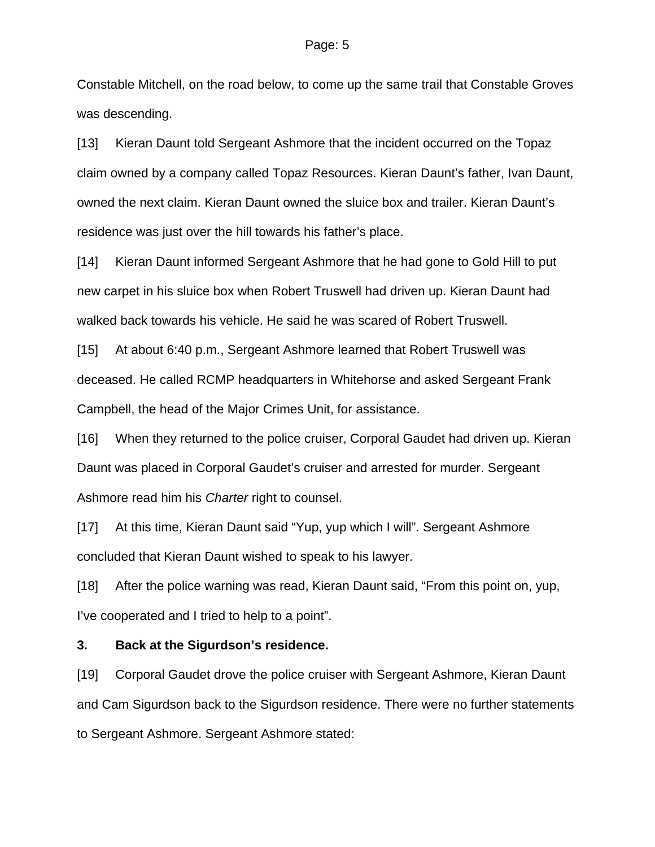Constable Mitchell, on the road below, to come up the same trail that Constable Groves was descending.

[13] Kieran Daunt told Sergeant Ashmore that the incident occurred on the Topaz claim owned by a company called Topaz Resources. Kieran Daunt's father, Ivan Daunt, owned the next claim. Kieran Daunt owned the sluice box and trailer. Kieran Daunt's residence was just over the hill towards his father's place.

[14] Kieran Daunt informed Sergeant Ashmore that he had gone to Gold Hill to put new carpet in his sluice box when Robert Truswell had driven up. Kieran Daunt had walked back towards his vehicle. He said he was scared of Robert Truswell.

[15] At about 6:40 p.m., Sergeant Ashmore learned that Robert Truswell was deceased. He called RCMP headquarters in Whitehorse and asked Sergeant Frank Campbell, the head of the Major Crimes Unit, for assistance.

[16] When they returned to the police cruiser, Corporal Gaudet had driven up. Kieran Daunt was placed in Corporal Gaudet's cruiser and arrested for murder. Sergeant Ashmore read him his *Charter* right to counsel.

[17] At this time, Kieran Daunt said "Yup, yup which I will". Sergeant Ashmore concluded that Kieran Daunt wished to speak to his lawyer.

[18] After the police warning was read, Kieran Daunt said, "From this point on, yup, I've cooperated and I tried to help to a point".

### **3. Back at the Sigurdson's residence.**

[19] Corporal Gaudet drove the police cruiser with Sergeant Ashmore, Kieran Daunt and Cam Sigurdson back to the Sigurdson residence. There were no further statements to Sergeant Ashmore. Sergeant Ashmore stated: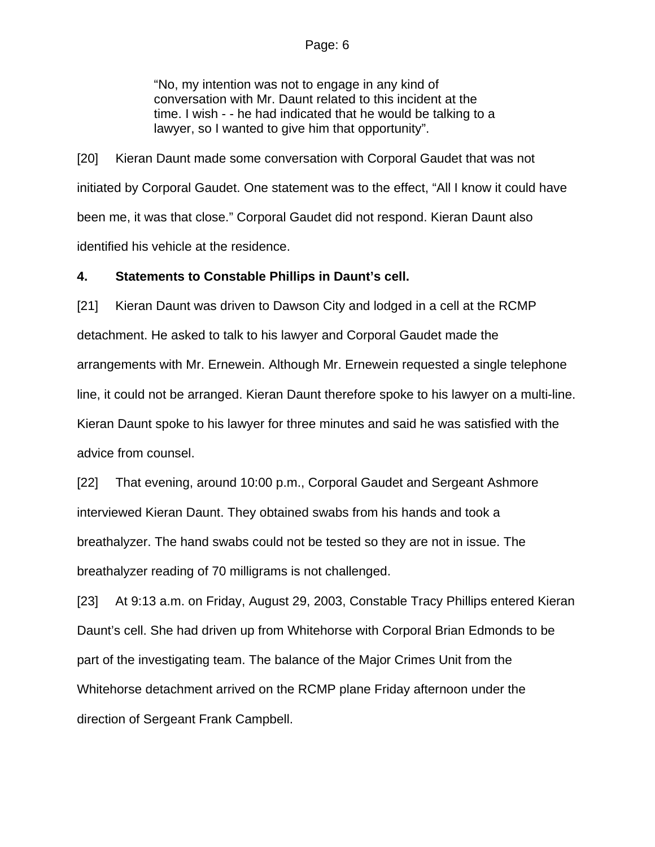"No, my intention was not to engage in any kind of conversation with Mr. Daunt related to this incident at the time. I wish - - he had indicated that he would be talking to a lawyer, so I wanted to give him that opportunity".

[20] Kieran Daunt made some conversation with Corporal Gaudet that was not initiated by Corporal Gaudet. One statement was to the effect, "All I know it could have been me, it was that close." Corporal Gaudet did not respond. Kieran Daunt also identified his vehicle at the residence.

## **4. Statements to Constable Phillips in Daunt's cell.**

[21] Kieran Daunt was driven to Dawson City and lodged in a cell at the RCMP detachment. He asked to talk to his lawyer and Corporal Gaudet made the arrangements with Mr. Ernewein. Although Mr. Ernewein requested a single telephone line, it could not be arranged. Kieran Daunt therefore spoke to his lawyer on a multi-line. Kieran Daunt spoke to his lawyer for three minutes and said he was satisfied with the advice from counsel.

[22] That evening, around 10:00 p.m., Corporal Gaudet and Sergeant Ashmore interviewed Kieran Daunt. They obtained swabs from his hands and took a breathalyzer. The hand swabs could not be tested so they are not in issue. The breathalyzer reading of 70 milligrams is not challenged.

[23] At 9:13 a.m. on Friday, August 29, 2003, Constable Tracy Phillips entered Kieran Daunt's cell. She had driven up from Whitehorse with Corporal Brian Edmonds to be part of the investigating team. The balance of the Major Crimes Unit from the Whitehorse detachment arrived on the RCMP plane Friday afternoon under the direction of Sergeant Frank Campbell.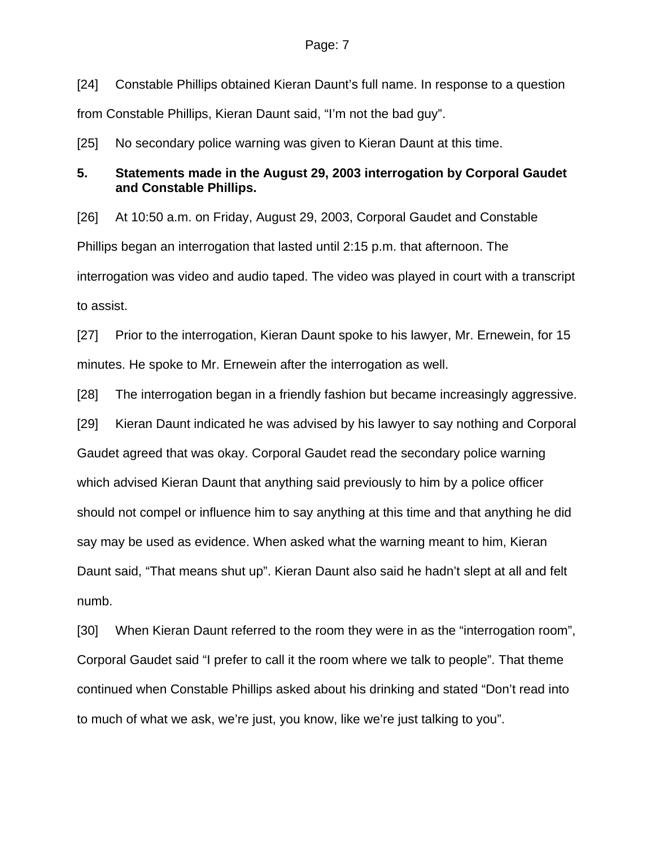[24] Constable Phillips obtained Kieran Daunt's full name. In response to a question from Constable Phillips, Kieran Daunt said, "I'm not the bad guy".

[25] No secondary police warning was given to Kieran Daunt at this time.

## **5. Statements made in the August 29, 2003 interrogation by Corporal Gaudet and Constable Phillips.**

[26] At 10:50 a.m. on Friday, August 29, 2003, Corporal Gaudet and Constable Phillips began an interrogation that lasted until 2:15 p.m. that afternoon. The interrogation was video and audio taped. The video was played in court with a transcript to assist.

[27] Prior to the interrogation, Kieran Daunt spoke to his lawyer, Mr. Ernewein, for 15 minutes. He spoke to Mr. Ernewein after the interrogation as well.

[28] The interrogation began in a friendly fashion but became increasingly aggressive.

[29] Kieran Daunt indicated he was advised by his lawyer to say nothing and Corporal Gaudet agreed that was okay. Corporal Gaudet read the secondary police warning which advised Kieran Daunt that anything said previously to him by a police officer should not compel or influence him to say anything at this time and that anything he did say may be used as evidence. When asked what the warning meant to him, Kieran Daunt said, "That means shut up". Kieran Daunt also said he hadn't slept at all and felt numb.

[30] When Kieran Daunt referred to the room they were in as the "interrogation room", Corporal Gaudet said "I prefer to call it the room where we talk to people". That theme continued when Constable Phillips asked about his drinking and stated "Don't read into to much of what we ask, we're just, you know, like we're just talking to you".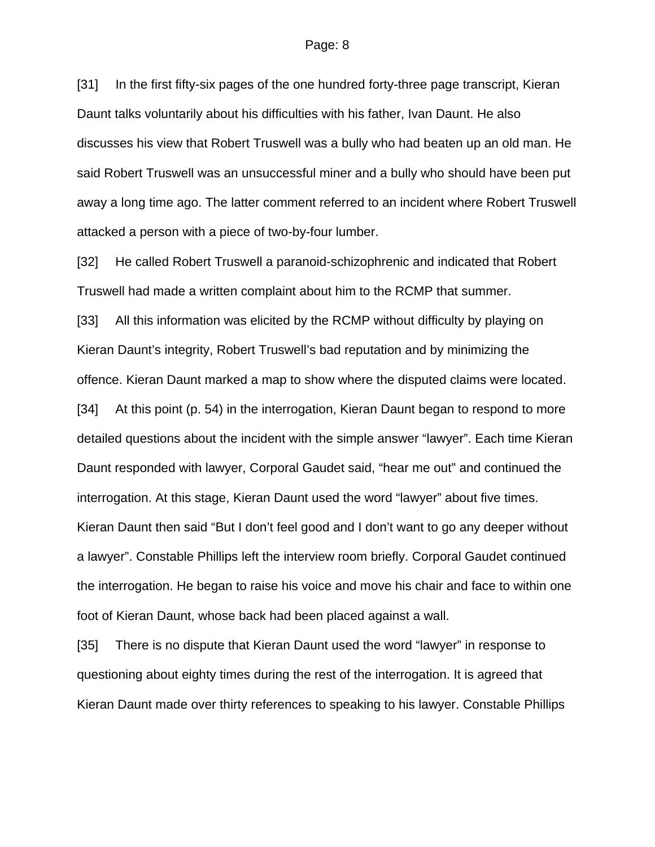[31] In the first fifty-six pages of the one hundred forty-three page transcript, Kieran Daunt talks voluntarily about his difficulties with his father, Ivan Daunt. He also discusses his view that Robert Truswell was a bully who had beaten up an old man. He said Robert Truswell was an unsuccessful miner and a bully who should have been put away a long time ago. The latter comment referred to an incident where Robert Truswell attacked a person with a piece of two-by-four lumber.

[32] He called Robert Truswell a paranoid-schizophrenic and indicated that Robert Truswell had made a written complaint about him to the RCMP that summer.

[33] All this information was elicited by the RCMP without difficulty by playing on Kieran Daunt's integrity, Robert Truswell's bad reputation and by minimizing the offence. Kieran Daunt marked a map to show where the disputed claims were located. [34] At this point (p. 54) in the interrogation, Kieran Daunt began to respond to more detailed questions about the incident with the simple answer "lawyer". Each time Kieran Daunt responded with lawyer, Corporal Gaudet said, "hear me out" and continued the interrogation. At this stage, Kieran Daunt used the word "lawyer" about five times. Kieran Daunt then said "But I don't feel good and I don't want to go any deeper without a lawyer". Constable Phillips left the interview room briefly. Corporal Gaudet continued the interrogation. He began to raise his voice and move his chair and face to within one foot of Kieran Daunt, whose back had been placed against a wall.

[35] There is no dispute that Kieran Daunt used the word "lawyer" in response to questioning about eighty times during the rest of the interrogation. It is agreed that Kieran Daunt made over thirty references to speaking to his lawyer. Constable Phillips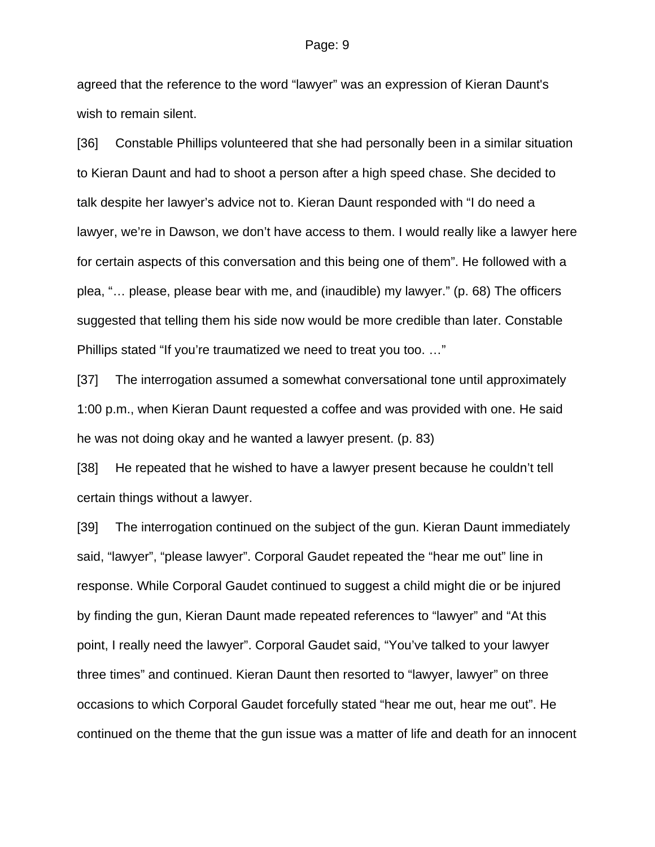agreed that the reference to the word "lawyer" was an expression of Kieran Daunt's wish to remain silent.

[36] Constable Phillips volunteered that she had personally been in a similar situation to Kieran Daunt and had to shoot a person after a high speed chase. She decided to talk despite her lawyer's advice not to. Kieran Daunt responded with "I do need a lawyer, we're in Dawson, we don't have access to them. I would really like a lawyer here for certain aspects of this conversation and this being one of them". He followed with a plea, "… please, please bear with me, and (inaudible) my lawyer." (p. 68) The officers suggested that telling them his side now would be more credible than later. Constable Phillips stated "If you're traumatized we need to treat you too. …"

[37] The interrogation assumed a somewhat conversational tone until approximately 1:00 p.m., when Kieran Daunt requested a coffee and was provided with one. He said he was not doing okay and he wanted a lawyer present. (p. 83)

[38] He repeated that he wished to have a lawyer present because he couldn't tell certain things without a lawyer.

[39] The interrogation continued on the subject of the gun. Kieran Daunt immediately said, "lawyer", "please lawyer". Corporal Gaudet repeated the "hear me out" line in response. While Corporal Gaudet continued to suggest a child might die or be injured by finding the gun, Kieran Daunt made repeated references to "lawyer" and "At this point, I really need the lawyer". Corporal Gaudet said, "You've talked to your lawyer three times" and continued. Kieran Daunt then resorted to "lawyer, lawyer" on three occasions to which Corporal Gaudet forcefully stated "hear me out, hear me out". He continued on the theme that the gun issue was a matter of life and death for an innocent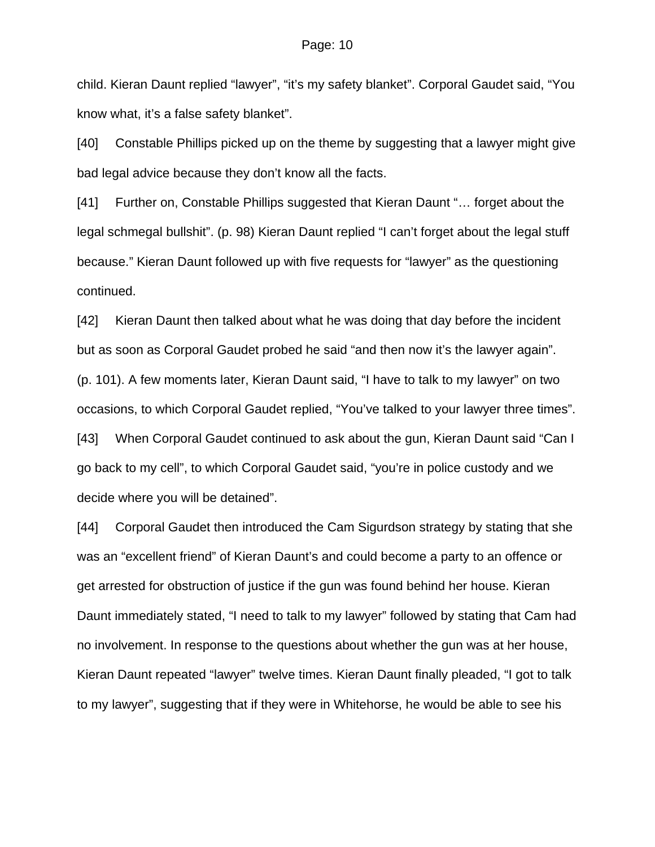child. Kieran Daunt replied "lawyer", "it's my safety blanket". Corporal Gaudet said, "You know what, it's a false safety blanket".

[40] Constable Phillips picked up on the theme by suggesting that a lawyer might give bad legal advice because they don't know all the facts.

[41] Further on, Constable Phillips suggested that Kieran Daunt "… forget about the legal schmegal bullshit". (p. 98) Kieran Daunt replied "I can't forget about the legal stuff because." Kieran Daunt followed up with five requests for "lawyer" as the questioning continued.

[42] Kieran Daunt then talked about what he was doing that day before the incident but as soon as Corporal Gaudet probed he said "and then now it's the lawyer again". (p. 101). A few moments later, Kieran Daunt said, "I have to talk to my lawyer" on two occasions, to which Corporal Gaudet replied, "You've talked to your lawyer three times". [43] When Corporal Gaudet continued to ask about the gun, Kieran Daunt said "Can I go back to my cell", to which Corporal Gaudet said, "you're in police custody and we decide where you will be detained".

[44] Corporal Gaudet then introduced the Cam Sigurdson strategy by stating that she was an "excellent friend" of Kieran Daunt's and could become a party to an offence or get arrested for obstruction of justice if the gun was found behind her house. Kieran Daunt immediately stated, "I need to talk to my lawyer" followed by stating that Cam had no involvement. In response to the questions about whether the gun was at her house, Kieran Daunt repeated "lawyer" twelve times. Kieran Daunt finally pleaded, "I got to talk to my lawyer", suggesting that if they were in Whitehorse, he would be able to see his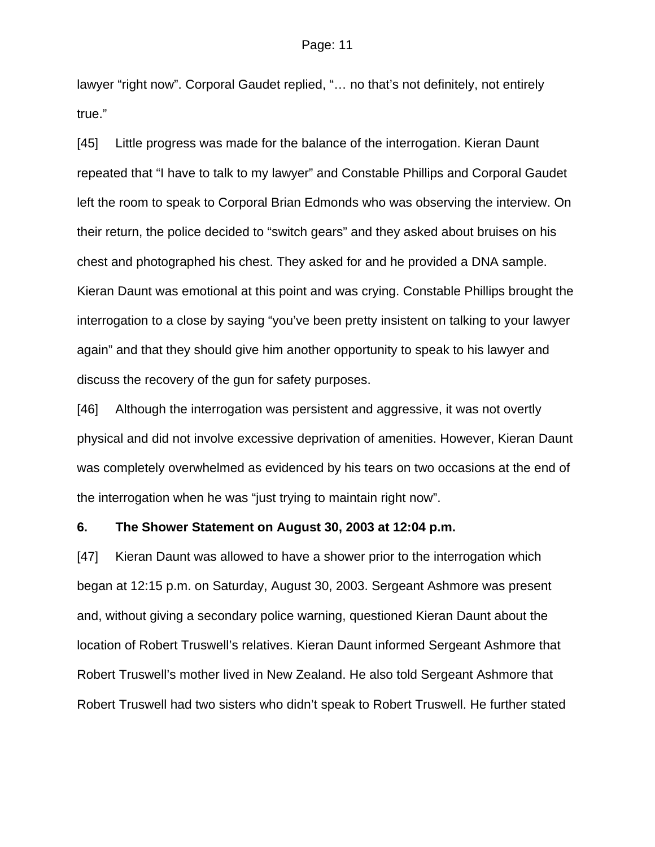lawyer "right now". Corporal Gaudet replied, "... no that's not definitely, not entirely true."

[45] Little progress was made for the balance of the interrogation. Kieran Daunt repeated that "I have to talk to my lawyer" and Constable Phillips and Corporal Gaudet left the room to speak to Corporal Brian Edmonds who was observing the interview. On their return, the police decided to "switch gears" and they asked about bruises on his chest and photographed his chest. They asked for and he provided a DNA sample. Kieran Daunt was emotional at this point and was crying. Constable Phillips brought the interrogation to a close by saying "you've been pretty insistent on talking to your lawyer again" and that they should give him another opportunity to speak to his lawyer and discuss the recovery of the gun for safety purposes.

[46] Although the interrogation was persistent and aggressive, it was not overtly physical and did not involve excessive deprivation of amenities. However, Kieran Daunt was completely overwhelmed as evidenced by his tears on two occasions at the end of the interrogation when he was "just trying to maintain right now".

### **6. The Shower Statement on August 30, 2003 at 12:04 p.m.**

[47] Kieran Daunt was allowed to have a shower prior to the interrogation which began at 12:15 p.m. on Saturday, August 30, 2003. Sergeant Ashmore was present and, without giving a secondary police warning, questioned Kieran Daunt about the location of Robert Truswell's relatives. Kieran Daunt informed Sergeant Ashmore that Robert Truswell's mother lived in New Zealand. He also told Sergeant Ashmore that Robert Truswell had two sisters who didn't speak to Robert Truswell. He further stated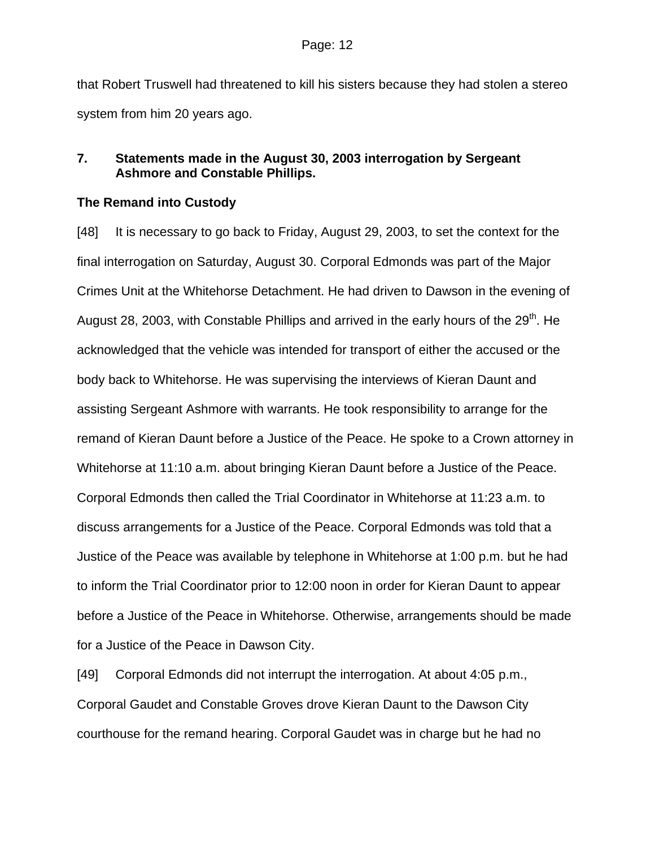that Robert Truswell had threatened to kill his sisters because they had stolen a stereo system from him 20 years ago.

# **7. Statements made in the August 30, 2003 interrogation by Sergeant Ashmore and Constable Phillips.**

# **The Remand into Custody**

[48] It is necessary to go back to Friday, August 29, 2003, to set the context for the final interrogation on Saturday, August 30. Corporal Edmonds was part of the Major Crimes Unit at the Whitehorse Detachment. He had driven to Dawson in the evening of August 28, 2003, with Constable Phillips and arrived in the early hours of the 29<sup>th</sup>. He acknowledged that the vehicle was intended for transport of either the accused or the body back to Whitehorse. He was supervising the interviews of Kieran Daunt and assisting Sergeant Ashmore with warrants. He took responsibility to arrange for the remand of Kieran Daunt before a Justice of the Peace. He spoke to a Crown attorney in Whitehorse at 11:10 a.m. about bringing Kieran Daunt before a Justice of the Peace. Corporal Edmonds then called the Trial Coordinator in Whitehorse at 11:23 a.m. to discuss arrangements for a Justice of the Peace. Corporal Edmonds was told that a Justice of the Peace was available by telephone in Whitehorse at 1:00 p.m. but he had to inform the Trial Coordinator prior to 12:00 noon in order for Kieran Daunt to appear before a Justice of the Peace in Whitehorse. Otherwise, arrangements should be made for a Justice of the Peace in Dawson City.

[49] Corporal Edmonds did not interrupt the interrogation. At about 4:05 p.m., Corporal Gaudet and Constable Groves drove Kieran Daunt to the Dawson City courthouse for the remand hearing. Corporal Gaudet was in charge but he had no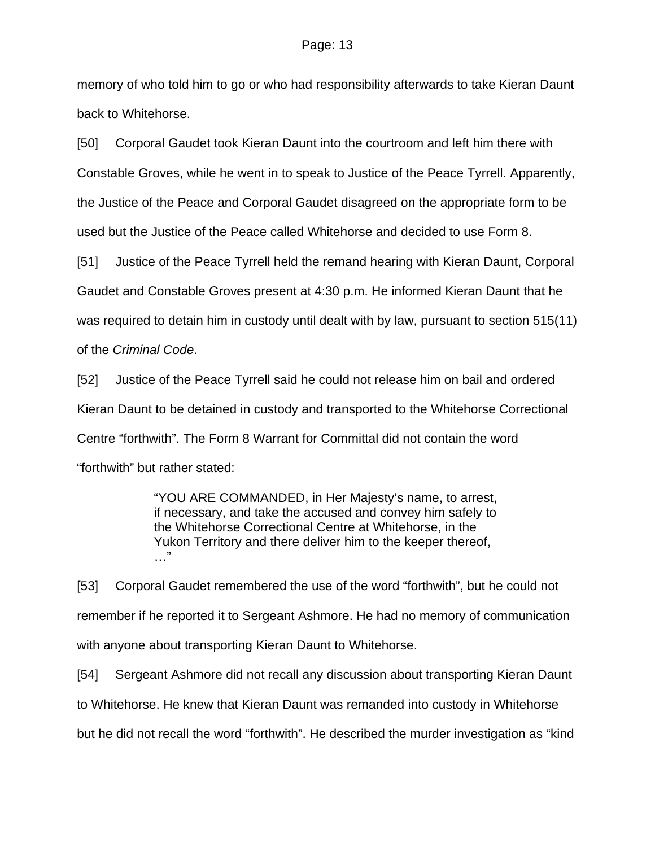memory of who told him to go or who had responsibility afterwards to take Kieran Daunt back to Whitehorse.

[50] Corporal Gaudet took Kieran Daunt into the courtroom and left him there with Constable Groves, while he went in to speak to Justice of the Peace Tyrrell. Apparently, the Justice of the Peace and Corporal Gaudet disagreed on the appropriate form to be used but the Justice of the Peace called Whitehorse and decided to use Form 8.

[51] Justice of the Peace Tyrrell held the remand hearing with Kieran Daunt, Corporal Gaudet and Constable Groves present at 4:30 p.m. He informed Kieran Daunt that he was required to detain him in custody until dealt with by law, pursuant to section 515(11) of the *Criminal Code*.

[52] Justice of the Peace Tyrrell said he could not release him on bail and ordered Kieran Daunt to be detained in custody and transported to the Whitehorse Correctional Centre "forthwith". The Form 8 Warrant for Committal did not contain the word "forthwith" but rather stated:

> "YOU ARE COMMANDED, in Her Majesty's name, to arrest, if necessary, and take the accused and convey him safely to the Whitehorse Correctional Centre at Whitehorse, in the Yukon Territory and there deliver him to the keeper thereof, …"

[53] Corporal Gaudet remembered the use of the word "forthwith", but he could not remember if he reported it to Sergeant Ashmore. He had no memory of communication with anyone about transporting Kieran Daunt to Whitehorse.

[54] Sergeant Ashmore did not recall any discussion about transporting Kieran Daunt to Whitehorse. He knew that Kieran Daunt was remanded into custody in Whitehorse but he did not recall the word "forthwith". He described the murder investigation as "kind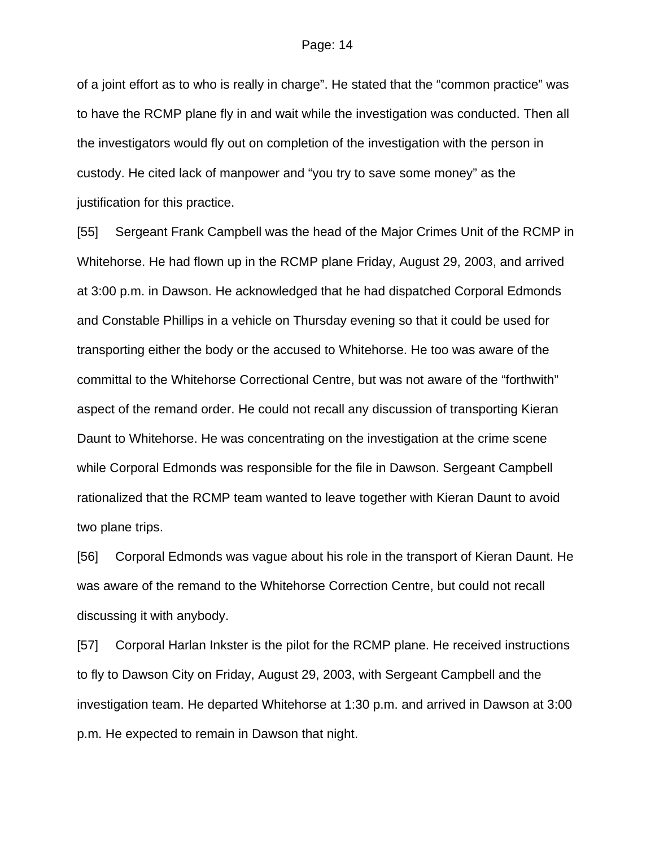of a joint effort as to who is really in charge". He stated that the "common practice" was to have the RCMP plane fly in and wait while the investigation was conducted. Then all the investigators would fly out on completion of the investigation with the person in custody. He cited lack of manpower and "you try to save some money" as the justification for this practice.

[55] Sergeant Frank Campbell was the head of the Major Crimes Unit of the RCMP in Whitehorse. He had flown up in the RCMP plane Friday, August 29, 2003, and arrived at 3:00 p.m. in Dawson. He acknowledged that he had dispatched Corporal Edmonds and Constable Phillips in a vehicle on Thursday evening so that it could be used for transporting either the body or the accused to Whitehorse. He too was aware of the committal to the Whitehorse Correctional Centre, but was not aware of the "forthwith" aspect of the remand order. He could not recall any discussion of transporting Kieran Daunt to Whitehorse. He was concentrating on the investigation at the crime scene while Corporal Edmonds was responsible for the file in Dawson. Sergeant Campbell rationalized that the RCMP team wanted to leave together with Kieran Daunt to avoid two plane trips.

[56] Corporal Edmonds was vague about his role in the transport of Kieran Daunt. He was aware of the remand to the Whitehorse Correction Centre, but could not recall discussing it with anybody.

[57] Corporal Harlan Inkster is the pilot for the RCMP plane. He received instructions to fly to Dawson City on Friday, August 29, 2003, with Sergeant Campbell and the investigation team. He departed Whitehorse at 1:30 p.m. and arrived in Dawson at 3:00 p.m. He expected to remain in Dawson that night.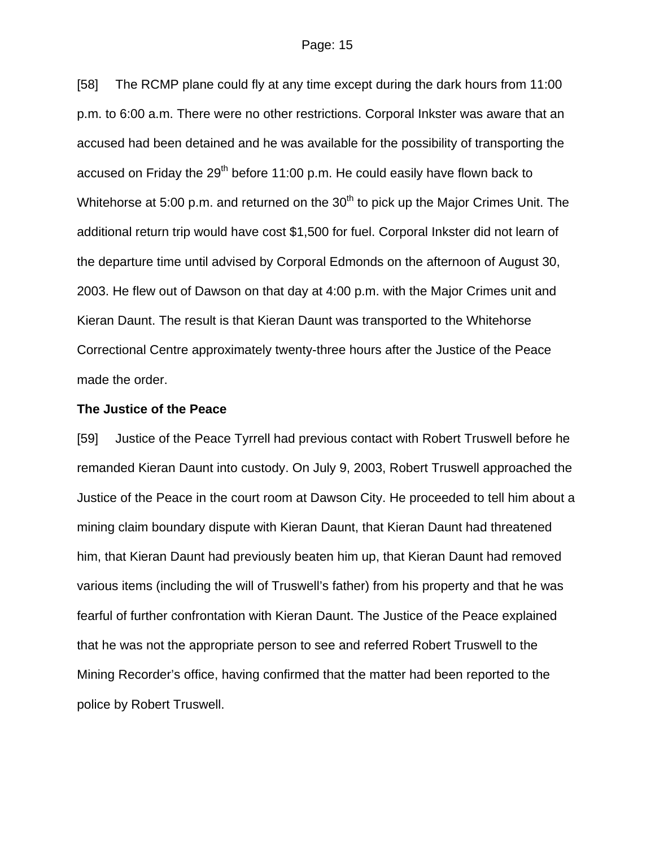[58] The RCMP plane could fly at any time except during the dark hours from 11:00 p.m. to 6:00 a.m. There were no other restrictions. Corporal Inkster was aware that an accused had been detained and he was available for the possibility of transporting the accused on Friday the  $29<sup>th</sup>$  before 11:00 p.m. He could easily have flown back to Whitehorse at 5:00 p.m. and returned on the  $30<sup>th</sup>$  to pick up the Major Crimes Unit. The additional return trip would have cost \$1,500 for fuel. Corporal Inkster did not learn of the departure time until advised by Corporal Edmonds on the afternoon of August 30, 2003. He flew out of Dawson on that day at 4:00 p.m. with the Major Crimes unit and Kieran Daunt. The result is that Kieran Daunt was transported to the Whitehorse Correctional Centre approximately twenty-three hours after the Justice of the Peace made the order.

#### **The Justice of the Peace**

[59] Justice of the Peace Tyrrell had previous contact with Robert Truswell before he remanded Kieran Daunt into custody. On July 9, 2003, Robert Truswell approached the Justice of the Peace in the court room at Dawson City. He proceeded to tell him about a mining claim boundary dispute with Kieran Daunt, that Kieran Daunt had threatened him, that Kieran Daunt had previously beaten him up, that Kieran Daunt had removed various items (including the will of Truswell's father) from his property and that he was fearful of further confrontation with Kieran Daunt. The Justice of the Peace explained that he was not the appropriate person to see and referred Robert Truswell to the Mining Recorder's office, having confirmed that the matter had been reported to the police by Robert Truswell.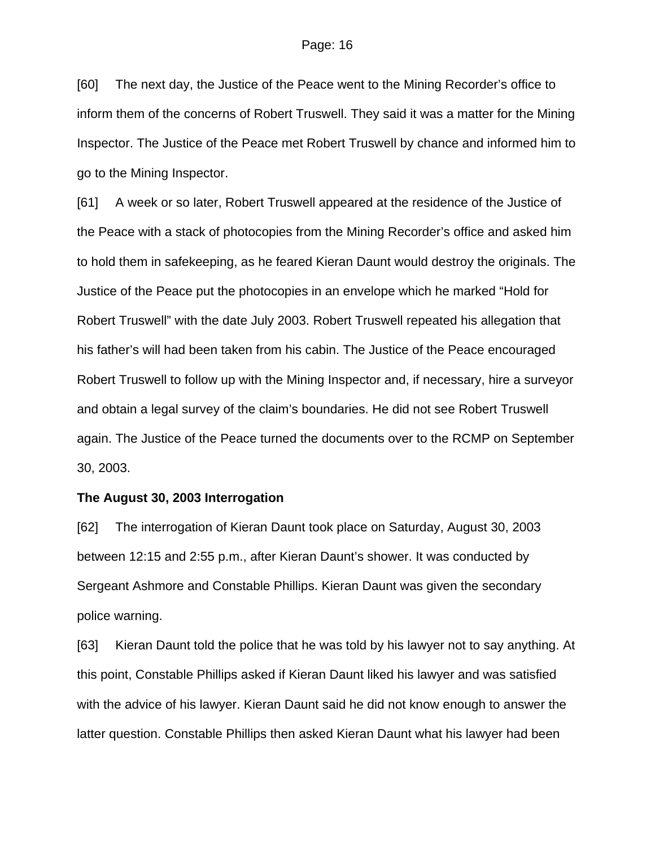[60] The next day, the Justice of the Peace went to the Mining Recorder's office to inform them of the concerns of Robert Truswell. They said it was a matter for the Mining Inspector. The Justice of the Peace met Robert Truswell by chance and informed him to go to the Mining Inspector.

[61] A week or so later, Robert Truswell appeared at the residence of the Justice of the Peace with a stack of photocopies from the Mining Recorder's office and asked him to hold them in safekeeping, as he feared Kieran Daunt would destroy the originals. The Justice of the Peace put the photocopies in an envelope which he marked "Hold for Robert Truswell" with the date July 2003. Robert Truswell repeated his allegation that his father's will had been taken from his cabin. The Justice of the Peace encouraged Robert Truswell to follow up with the Mining Inspector and, if necessary, hire a surveyor and obtain a legal survey of the claim's boundaries. He did not see Robert Truswell again. The Justice of the Peace turned the documents over to the RCMP on September 30, 2003.

### **The August 30, 2003 Interrogation**

[62] The interrogation of Kieran Daunt took place on Saturday, August 30, 2003 between 12:15 and 2:55 p.m., after Kieran Daunt's shower. It was conducted by Sergeant Ashmore and Constable Phillips. Kieran Daunt was given the secondary police warning.

[63] Kieran Daunt told the police that he was told by his lawyer not to say anything. At this point, Constable Phillips asked if Kieran Daunt liked his lawyer and was satisfied with the advice of his lawyer. Kieran Daunt said he did not know enough to answer the latter question. Constable Phillips then asked Kieran Daunt what his lawyer had been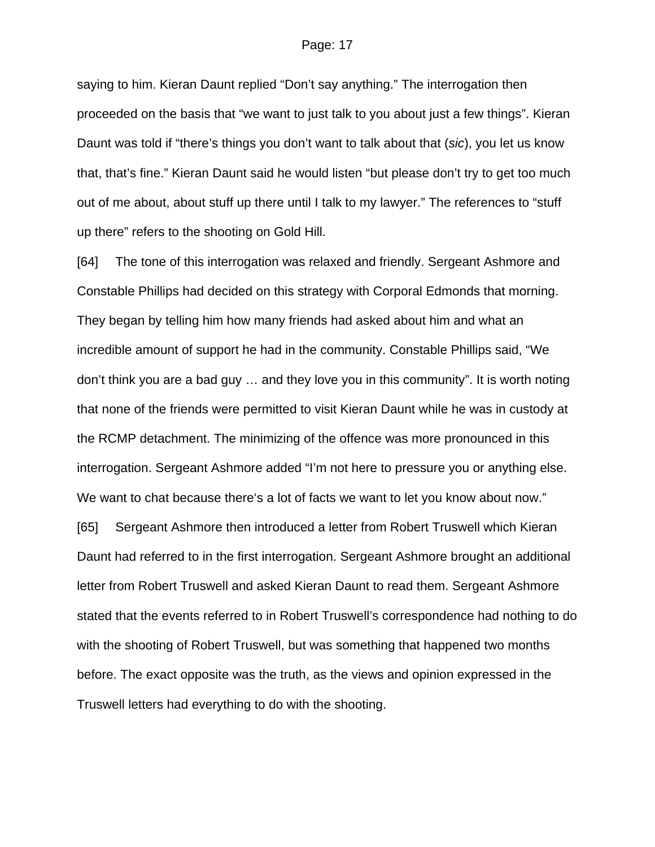saying to him. Kieran Daunt replied "Don't say anything." The interrogation then proceeded on the basis that "we want to just talk to you about just a few things". Kieran Daunt was told if "there's things you don't want to talk about that (*sic*), you let us know that, that's fine." Kieran Daunt said he would listen "but please don't try to get too much out of me about, about stuff up there until I talk to my lawyer." The references to "stuff up there" refers to the shooting on Gold Hill.

[64] The tone of this interrogation was relaxed and friendly. Sergeant Ashmore and Constable Phillips had decided on this strategy with Corporal Edmonds that morning. They began by telling him how many friends had asked about him and what an incredible amount of support he had in the community. Constable Phillips said, "We don't think you are a bad guy … and they love you in this community". It is worth noting that none of the friends were permitted to visit Kieran Daunt while he was in custody at the RCMP detachment. The minimizing of the offence was more pronounced in this interrogation. Sergeant Ashmore added "I'm not here to pressure you or anything else. We want to chat because there's a lot of facts we want to let you know about now." [65] Sergeant Ashmore then introduced a letter from Robert Truswell which Kieran Daunt had referred to in the first interrogation. Sergeant Ashmore brought an additional

letter from Robert Truswell and asked Kieran Daunt to read them. Sergeant Ashmore stated that the events referred to in Robert Truswell's correspondence had nothing to do with the shooting of Robert Truswell, but was something that happened two months before. The exact opposite was the truth, as the views and opinion expressed in the Truswell letters had everything to do with the shooting.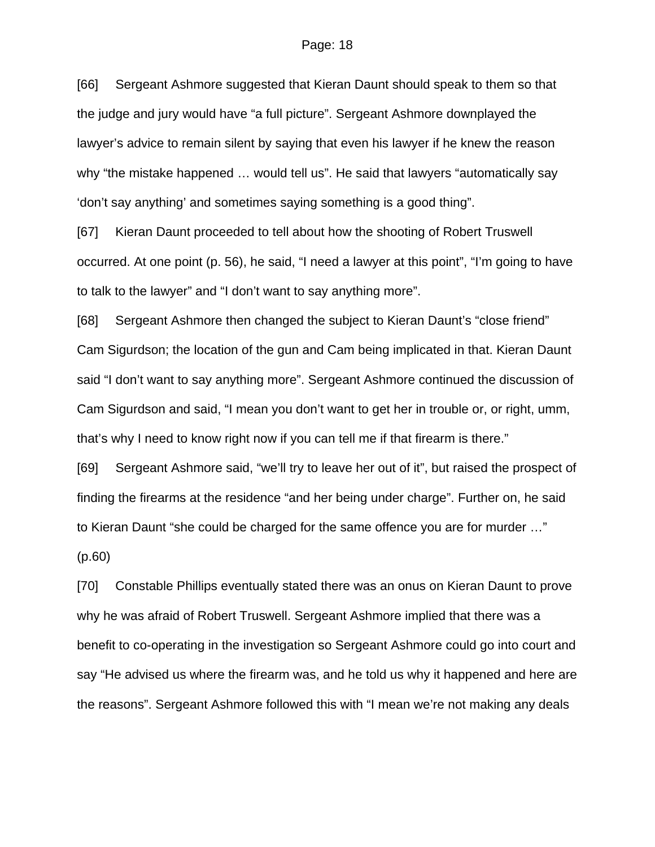[66] Sergeant Ashmore suggested that Kieran Daunt should speak to them so that the judge and jury would have "a full picture". Sergeant Ashmore downplayed the lawyer's advice to remain silent by saying that even his lawyer if he knew the reason why "the mistake happened … would tell us". He said that lawyers "automatically say 'don't say anything' and sometimes saying something is a good thing".

[67] Kieran Daunt proceeded to tell about how the shooting of Robert Truswell occurred. At one point (p. 56), he said, "I need a lawyer at this point", "I'm going to have to talk to the lawyer" and "I don't want to say anything more".

[68] Sergeant Ashmore then changed the subject to Kieran Daunt's "close friend" Cam Sigurdson; the location of the gun and Cam being implicated in that. Kieran Daunt said "I don't want to say anything more". Sergeant Ashmore continued the discussion of Cam Sigurdson and said, "I mean you don't want to get her in trouble or, or right, umm, that's why I need to know right now if you can tell me if that firearm is there."

[69] Sergeant Ashmore said, "we'll try to leave her out of it", but raised the prospect of finding the firearms at the residence "and her being under charge". Further on, he said to Kieran Daunt "she could be charged for the same offence you are for murder …"

(p.60)

[70] Constable Phillips eventually stated there was an onus on Kieran Daunt to prove why he was afraid of Robert Truswell. Sergeant Ashmore implied that there was a benefit to co-operating in the investigation so Sergeant Ashmore could go into court and say "He advised us where the firearm was, and he told us why it happened and here are the reasons". Sergeant Ashmore followed this with "I mean we're not making any deals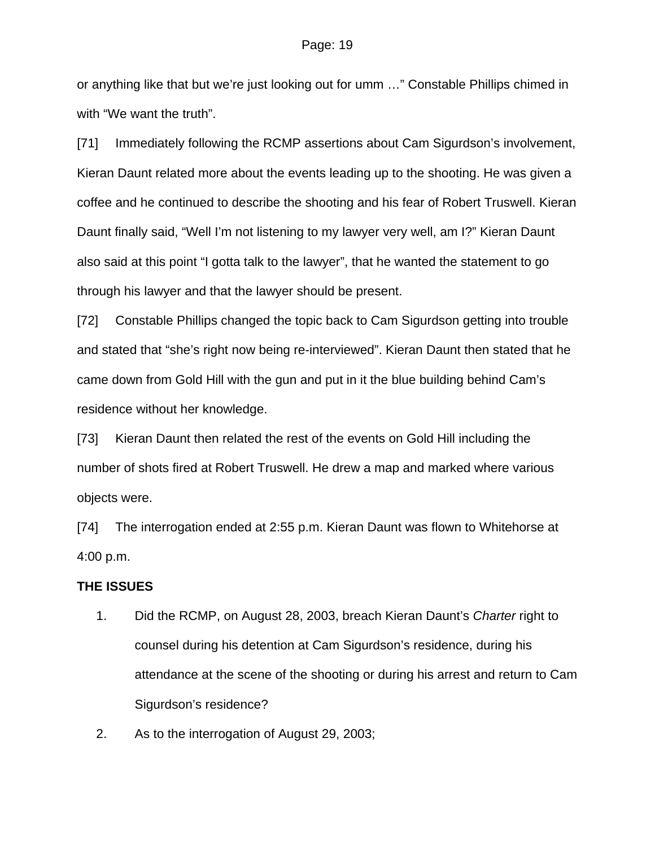or anything like that but we're just looking out for umm …" Constable Phillips chimed in with "We want the truth".

[71] Immediately following the RCMP assertions about Cam Sigurdson's involvement, Kieran Daunt related more about the events leading up to the shooting. He was given a coffee and he continued to describe the shooting and his fear of Robert Truswell. Kieran Daunt finally said, "Well I'm not listening to my lawyer very well, am I?" Kieran Daunt also said at this point "I gotta talk to the lawyer", that he wanted the statement to go through his lawyer and that the lawyer should be present.

[72] Constable Phillips changed the topic back to Cam Sigurdson getting into trouble and stated that "she's right now being re-interviewed". Kieran Daunt then stated that he came down from Gold Hill with the gun and put in it the blue building behind Cam's residence without her knowledge.

[73] Kieran Daunt then related the rest of the events on Gold Hill including the number of shots fired at Robert Truswell. He drew a map and marked where various objects were.

[74] The interrogation ended at 2:55 p.m. Kieran Daunt was flown to Whitehorse at 4:00 p.m.

### **THE ISSUES**

- 1. Did the RCMP, on August 28, 2003, breach Kieran Daunt's *Charter* right to counsel during his detention at Cam Sigurdson's residence, during his attendance at the scene of the shooting or during his arrest and return to Cam Sigurdson's residence?
- 2. As to the interrogation of August 29, 2003;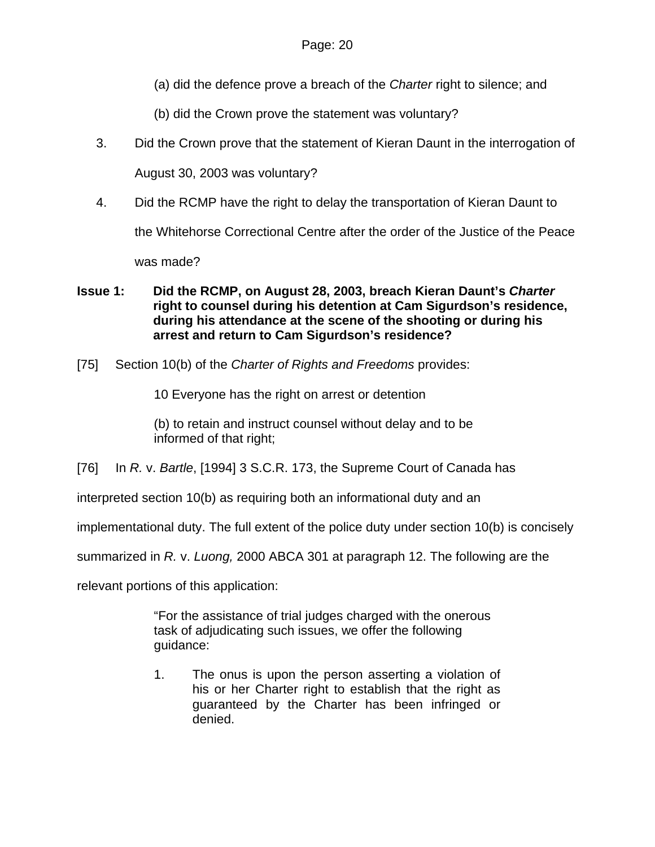- (a) did the defence prove a breach of the *Charter* right to silence; and
- (b) did the Crown prove the statement was voluntary?
- 3. Did the Crown prove that the statement of Kieran Daunt in the interrogation of

August 30, 2003 was voluntary?

4. Did the RCMP have the right to delay the transportation of Kieran Daunt to

the Whitehorse Correctional Centre after the order of the Justice of the Peace

was made?

## **Issue 1: Did the RCMP, on August 28, 2003, breach Kieran Daunt's** *Charter* **right to counsel during his detention at Cam Sigurdson's residence, during his attendance at the scene of the shooting or during his arrest and return to Cam Sigurdson's residence?**

[75] Section 10(b) of the *Charter of Rights and Freedoms* provides:

10 Everyone has the right on arrest or detention

(b) to retain and instruct counsel without delay and to be informed of that right;

[76] In *R.* v. *Bartle*, [1994] 3 S.C.R. 173, the Supreme Court of Canada has

interpreted section 10(b) as requiring both an informational duty and an

implementational duty. The full extent of the police duty under section 10(b) is concisely

summarized in *R.* v. *Luong,* 2000 ABCA 301 at paragraph 12. The following are the

relevant portions of this application:

"For the assistance of trial judges charged with the onerous task of adjudicating such issues, we offer the following guidance:

1. The onus is upon the person asserting a violation of his or her Charter right to establish that the right as guaranteed by the Charter has been infringed or denied.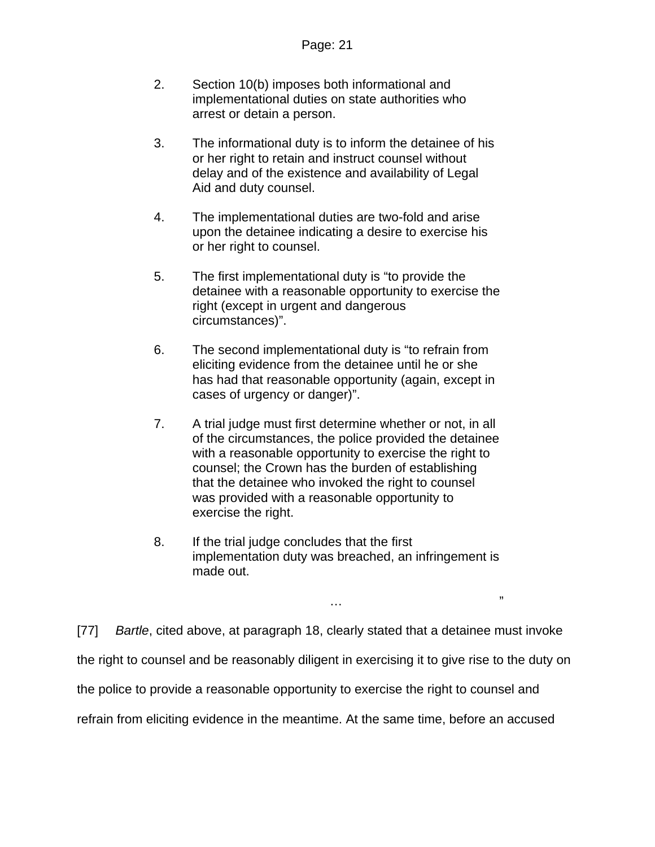- 2. Section 10(b) imposes both informational and implementational duties on state authorities who arrest or detain a person.
- 3. The informational duty is to inform the detainee of his or her right to retain and instruct counsel without delay and of the existence and availability of Legal Aid and duty counsel.
- 4. The implementational duties are two-fold and arise upon the detainee indicating a desire to exercise his or her right to counsel.
- 5. The first implementational duty is "to provide the detainee with a reasonable opportunity to exercise the right (except in urgent and dangerous circumstances)".
- 6. The second implementational duty is "to refrain from eliciting evidence from the detainee until he or she has had that reasonable opportunity (again, except in cases of urgency or danger)".
- 7. A trial judge must first determine whether or not, in all of the circumstances, the police provided the detainee with a reasonable opportunity to exercise the right to counsel; the Crown has the burden of establishing that the detainee who invoked the right to counsel was provided with a reasonable opportunity to exercise the right.
- 8. If the trial judge concludes that the first implementation duty was breached, an infringement is made out.

 $\mathcal{L}$  . The contract of the contract of the contract of the contract of the contract of the contract of the contract of the contract of the contract of the contract of the contract of the contract of the contract of th

[77] *Bartle*, cited above, at paragraph 18, clearly stated that a detainee must invoke the right to counsel and be reasonably diligent in exercising it to give rise to the duty on the police to provide a reasonable opportunity to exercise the right to counsel and refrain from eliciting evidence in the meantime. At the same time, before an accused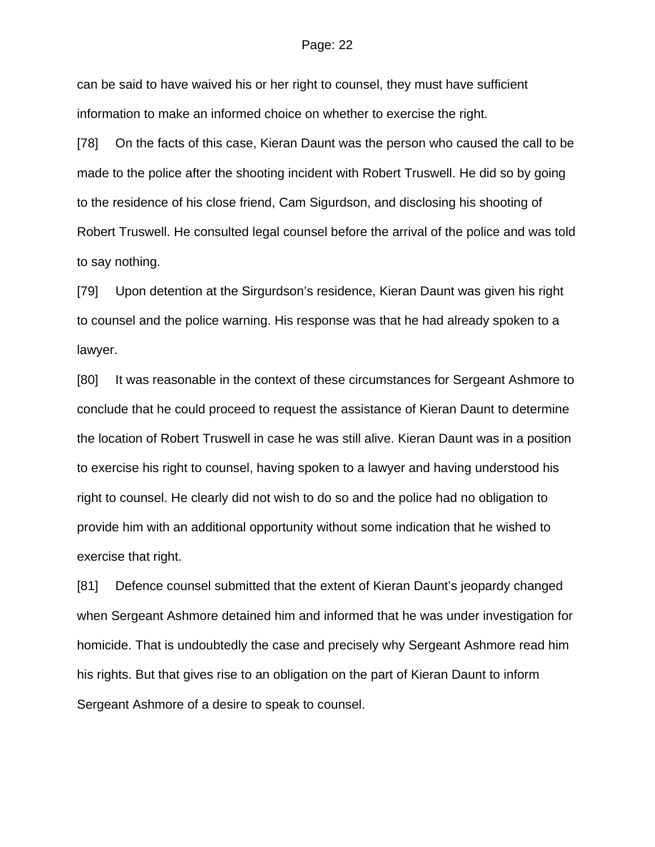can be said to have waived his or her right to counsel, they must have sufficient information to make an informed choice on whether to exercise the right.

[78] On the facts of this case, Kieran Daunt was the person who caused the call to be made to the police after the shooting incident with Robert Truswell. He did so by going to the residence of his close friend, Cam Sigurdson, and disclosing his shooting of Robert Truswell. He consulted legal counsel before the arrival of the police and was told to say nothing.

[79] Upon detention at the Sirgurdson's residence, Kieran Daunt was given his right to counsel and the police warning. His response was that he had already spoken to a lawyer.

[80] It was reasonable in the context of these circumstances for Sergeant Ashmore to conclude that he could proceed to request the assistance of Kieran Daunt to determine the location of Robert Truswell in case he was still alive. Kieran Daunt was in a position to exercise his right to counsel, having spoken to a lawyer and having understood his right to counsel. He clearly did not wish to do so and the police had no obligation to provide him with an additional opportunity without some indication that he wished to exercise that right.

[81] Defence counsel submitted that the extent of Kieran Daunt's jeopardy changed when Sergeant Ashmore detained him and informed that he was under investigation for homicide. That is undoubtedly the case and precisely why Sergeant Ashmore read him his rights. But that gives rise to an obligation on the part of Kieran Daunt to inform Sergeant Ashmore of a desire to speak to counsel.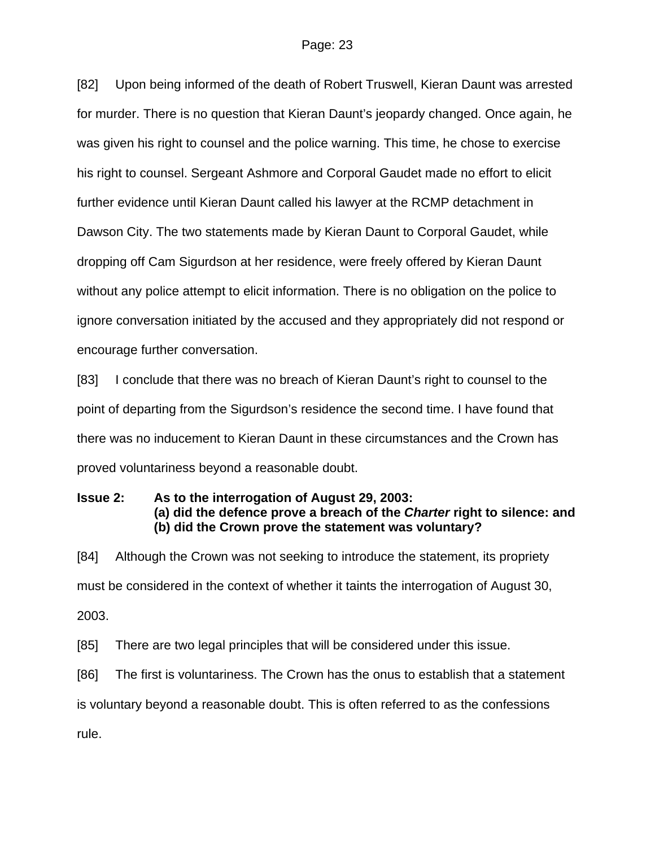[82] Upon being informed of the death of Robert Truswell, Kieran Daunt was arrested for murder. There is no question that Kieran Daunt's jeopardy changed. Once again, he was given his right to counsel and the police warning. This time, he chose to exercise his right to counsel. Sergeant Ashmore and Corporal Gaudet made no effort to elicit further evidence until Kieran Daunt called his lawyer at the RCMP detachment in Dawson City. The two statements made by Kieran Daunt to Corporal Gaudet, while dropping off Cam Sigurdson at her residence, were freely offered by Kieran Daunt without any police attempt to elicit information. There is no obligation on the police to ignore conversation initiated by the accused and they appropriately did not respond or encourage further conversation.

[83] I conclude that there was no breach of Kieran Daunt's right to counsel to the point of departing from the Sigurdson's residence the second time. I have found that there was no inducement to Kieran Daunt in these circumstances and the Crown has proved voluntariness beyond a reasonable doubt.

# **Issue 2: As to the interrogation of August 29, 2003: (a) did the defence prove a breach of the** *Charter* **right to silence: and (b) did the Crown prove the statement was voluntary?**

[84] Although the Crown was not seeking to introduce the statement, its propriety must be considered in the context of whether it taints the interrogation of August 30, 2003.

[85] There are two legal principles that will be considered under this issue.

[86] The first is voluntariness. The Crown has the onus to establish that a statement is voluntary beyond a reasonable doubt. This is often referred to as the confessions

rule.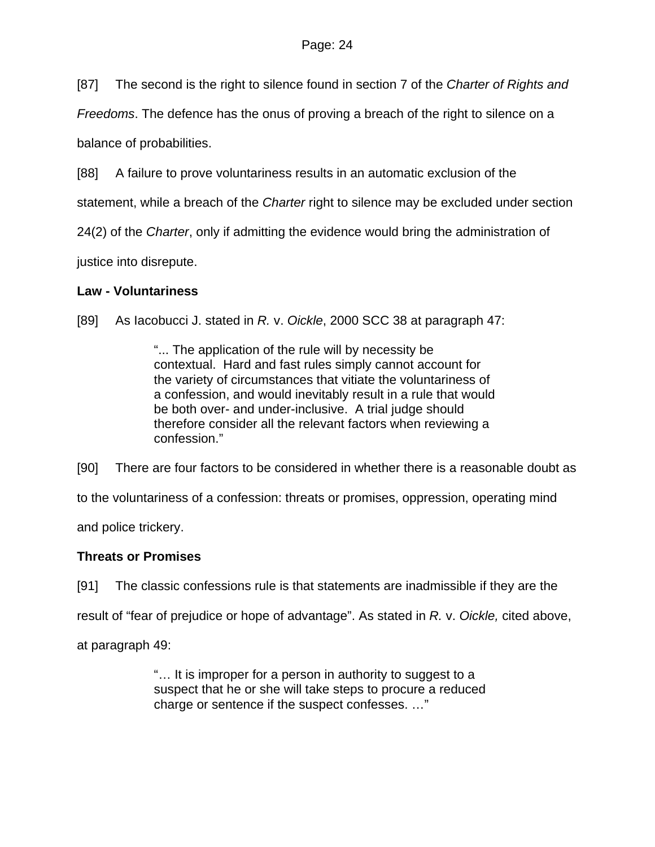[87] The second is the right to silence found in section 7 of the *Charter of Rights and* 

*Freedoms*. The defence has the onus of proving a breach of the right to silence on a

balance of probabilities.

[88] A failure to prove voluntariness results in an automatic exclusion of the

statement, while a breach of the *Charter* right to silence may be excluded under section

24(2) of the *Charter*, only if admitting the evidence would bring the administration of

justice into disrepute.

# **Law - Voluntariness**

[89] As Iacobucci J. stated in *R.* v. *Oickle*, 2000 SCC 38 at paragraph 47:

"... The application of the rule will by necessity be contextual. Hard and fast rules simply cannot account for the variety of circumstances that vitiate the voluntariness of a confession, and would inevitably result in a rule that would be both over- and under-inclusive. A trial judge should therefore consider all the relevant factors when reviewing a confession."

[90] There are four factors to be considered in whether there is a reasonable doubt as

to the voluntariness of a confession: threats or promises, oppression, operating mind

and police trickery.

# **Threats or Promises**

[91] The classic confessions rule is that statements are inadmissible if they are the

result of "fear of prejudice or hope of advantage". As stated in *R.* v. *Oickle,* cited above,

at paragraph 49:

"… It is improper for a person in authority to suggest to a suspect that he or she will take steps to procure a reduced charge or sentence if the suspect confesses. …"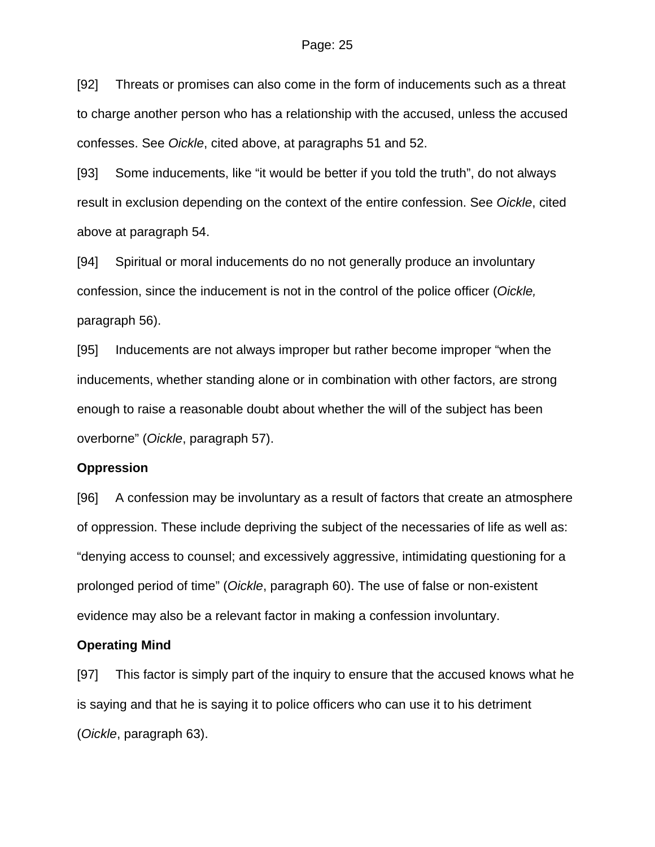[92] Threats or promises can also come in the form of inducements such as a threat to charge another person who has a relationship with the accused, unless the accused confesses. See *Oickle*, cited above, at paragraphs 51 and 52.

[93] Some inducements, like "it would be better if you told the truth", do not always result in exclusion depending on the context of the entire confession. See *Oickle*, cited above at paragraph 54.

[94] Spiritual or moral inducements do no not generally produce an involuntary confession, since the inducement is not in the control of the police officer (*Oickle,* paragraph 56).

[95] Inducements are not always improper but rather become improper "when the inducements, whether standing alone or in combination with other factors, are strong enough to raise a reasonable doubt about whether the will of the subject has been overborne" (*Oickle*, paragraph 57).

### **Oppression**

[96] A confession may be involuntary as a result of factors that create an atmosphere of oppression. These include depriving the subject of the necessaries of life as well as: "denying access to counsel; and excessively aggressive, intimidating questioning for a prolonged period of time" (*Oickle*, paragraph 60). The use of false or non-existent evidence may also be a relevant factor in making a confession involuntary.

### **Operating Mind**

[97] This factor is simply part of the inquiry to ensure that the accused knows what he is saying and that he is saying it to police officers who can use it to his detriment (*Oickle*, paragraph 63).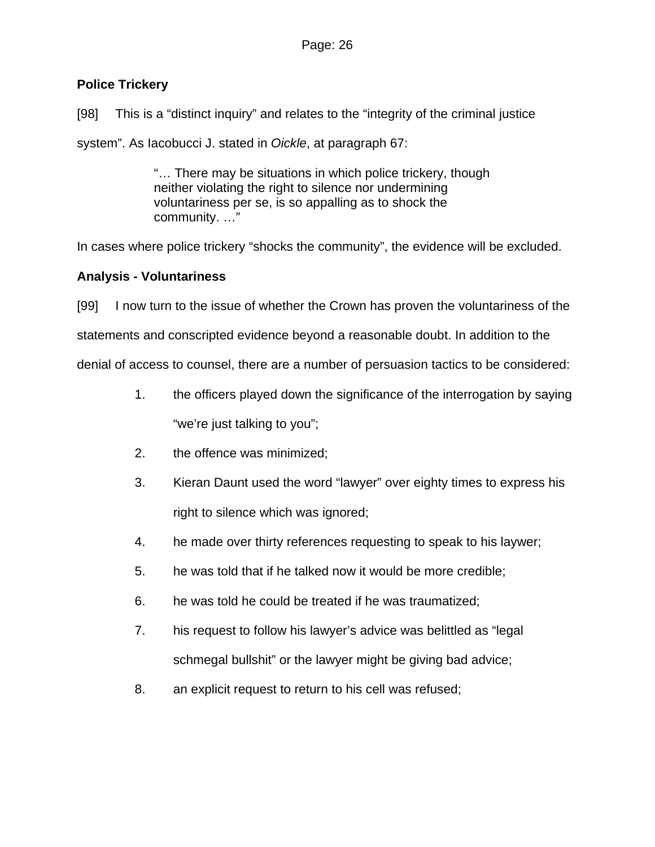# **Police Trickery**

[98] This is a "distinct inquiry" and relates to the "integrity of the criminal justice system". As Iacobucci J. stated in *Oickle*, at paragraph 67:

> "… There may be situations in which police trickery, though neither violating the right to silence nor undermining voluntariness per se, is so appalling as to shock the community. …"

In cases where police trickery "shocks the community", the evidence will be excluded.

# **Analysis - Voluntariness**

[99] I now turn to the issue of whether the Crown has proven the voluntariness of the statements and conscripted evidence beyond a reasonable doubt. In addition to the denial of access to counsel, there are a number of persuasion tactics to be considered:

- 1. the officers played down the significance of the interrogation by saying "we're just talking to you";
- 2. the offence was minimized;
- 3. Kieran Daunt used the word "lawyer" over eighty times to express his right to silence which was ignored;
- 4. he made over thirty references requesting to speak to his laywer;
- 5. he was told that if he talked now it would be more credible;
- 6. he was told he could be treated if he was traumatized;
- 7. his request to follow his lawyer's advice was belittled as "legal schmegal bullshit" or the lawyer might be giving bad advice;
- 8. an explicit request to return to his cell was refused;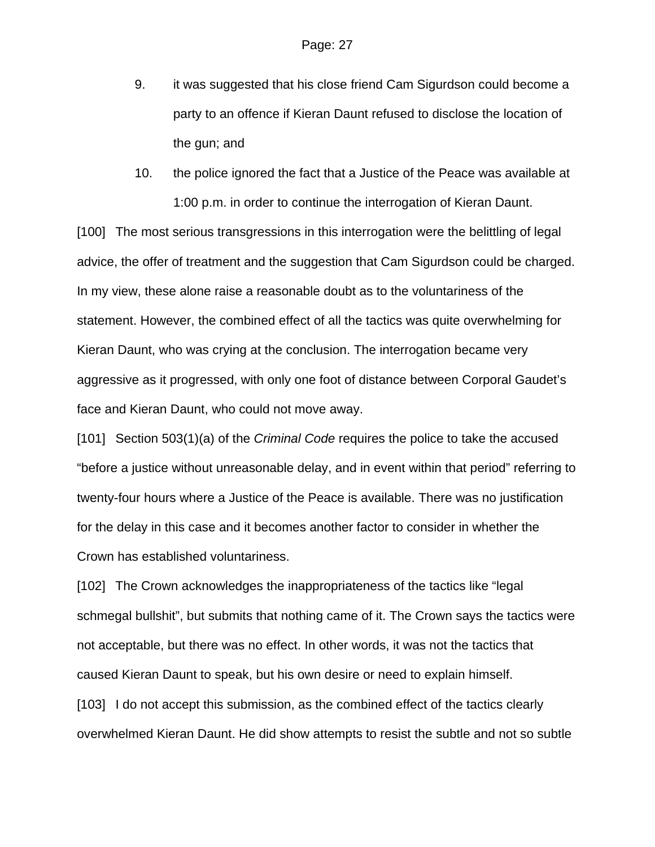- 9. it was suggested that his close friend Cam Sigurdson could become a party to an offence if Kieran Daunt refused to disclose the location of the gun; and
- 10. the police ignored the fact that a Justice of the Peace was available at 1:00 p.m. in order to continue the interrogation of Kieran Daunt.

[100] The most serious transgressions in this interrogation were the belittling of legal advice, the offer of treatment and the suggestion that Cam Sigurdson could be charged. In my view, these alone raise a reasonable doubt as to the voluntariness of the statement. However, the combined effect of all the tactics was quite overwhelming for Kieran Daunt, who was crying at the conclusion. The interrogation became very aggressive as it progressed, with only one foot of distance between Corporal Gaudet's face and Kieran Daunt, who could not move away.

[101] Section 503(1)(a) of the *Criminal Code* requires the police to take the accused "before a justice without unreasonable delay, and in event within that period" referring to twenty-four hours where a Justice of the Peace is available. There was no justification for the delay in this case and it becomes another factor to consider in whether the Crown has established voluntariness.

[102] The Crown acknowledges the inappropriateness of the tactics like "legal" schmegal bullshit", but submits that nothing came of it. The Crown says the tactics were not acceptable, but there was no effect. In other words, it was not the tactics that caused Kieran Daunt to speak, but his own desire or need to explain himself. [103] I do not accept this submission, as the combined effect of the tactics clearly overwhelmed Kieran Daunt. He did show attempts to resist the subtle and not so subtle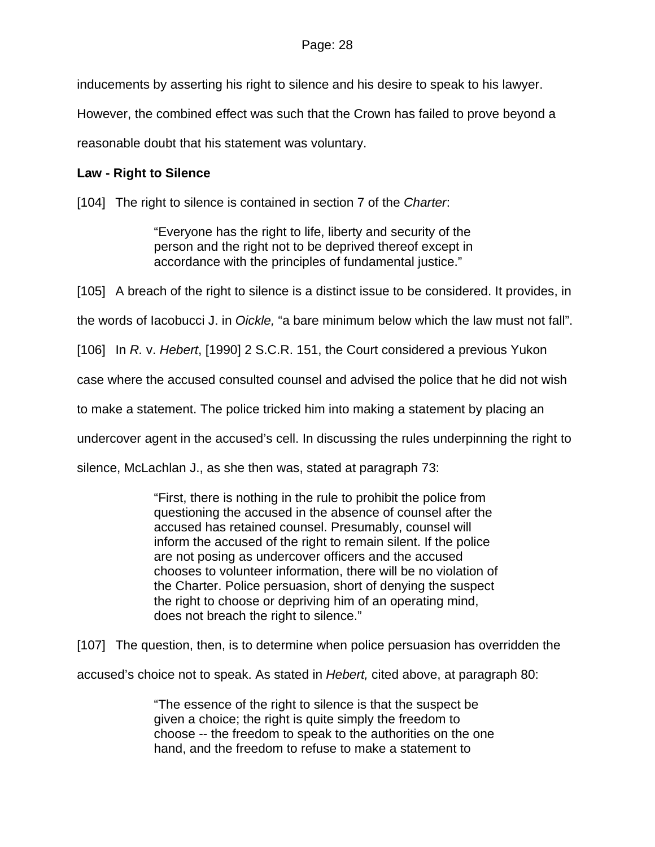inducements by asserting his right to silence and his desire to speak to his lawyer.

However, the combined effect was such that the Crown has failed to prove beyond a

reasonable doubt that his statement was voluntary.

# **Law - Right to Silence**

[104] The right to silence is contained in section 7 of the *Charter*:

"Everyone has the right to life, liberty and security of the person and the right not to be deprived thereof except in accordance with the principles of fundamental justice."

[105] A breach of the right to silence is a distinct issue to be considered. It provides, in

the words of Iacobucci J. in *Oickle,* "a bare minimum below which the law must not fall".

[106] In *R.* v. *Hebert*, [1990] 2 S.C.R. 151, the Court considered a previous Yukon

case where the accused consulted counsel and advised the police that he did not wish

to make a statement. The police tricked him into making a statement by placing an

undercover agent in the accused's cell. In discussing the rules underpinning the right to

silence, McLachlan J., as she then was, stated at paragraph 73:

"First, there is nothing in the rule to prohibit the police from questioning the accused in the absence of counsel after the accused has retained counsel. Presumably, counsel will inform the accused of the right to remain silent. If the police are not posing as undercover officers and the accused chooses to volunteer information, there will be no violation of the Charter. Police persuasion, short of denying the suspect the right to choose or depriving him of an operating mind, does not breach the right to silence."

[107] The question, then, is to determine when police persuasion has overridden the

accused's choice not to speak. As stated in *Hebert,* cited above, at paragraph 80:

"The essence of the right to silence is that the suspect be given a choice; the right is quite simply the freedom to choose -- the freedom to speak to the authorities on the one hand, and the freedom to refuse to make a statement to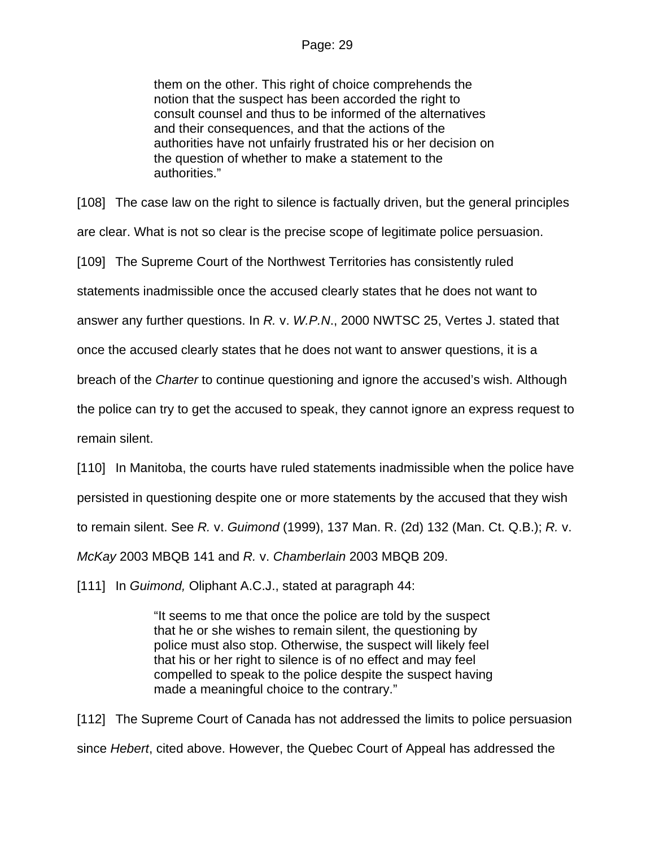them on the other. This right of choice comprehends the notion that the suspect has been accorded the right to consult counsel and thus to be informed of the alternatives and their consequences, and that the actions of the authorities have not unfairly frustrated his or her decision on the question of whether to make a statement to the authorities."

[108] The case law on the right to silence is factually driven, but the general principles

are clear. What is not so clear is the precise scope of legitimate police persuasion.

[109] The Supreme Court of the Northwest Territories has consistently ruled

statements inadmissible once the accused clearly states that he does not want to

answer any further questions. In *R.* v. *W.P.N*., 2000 NWTSC 25, Vertes J. stated that

once the accused clearly states that he does not want to answer questions, it is a

breach of the *Charter* to continue questioning and ignore the accused's wish. Although

the police can try to get the accused to speak, they cannot ignore an express request to

remain silent.

[110] In Manitoba, the courts have ruled statements inadmissible when the police have

persisted in questioning despite one or more statements by the accused that they wish

to remain silent. See *R.* v. *Guimond* (1999), 137 Man. R. (2d) 132 (Man. Ct. Q.B.); *R.* v.

*McKay* 2003 MBQB 141 and *R.* v. *Chamberlain* 2003 MBQB 209.

[111] In *Guimond*, Oliphant A.C.J., stated at paragraph 44:

"It seems to me that once the police are told by the suspect that he or she wishes to remain silent, the questioning by police must also stop. Otherwise, the suspect will likely feel that his or her right to silence is of no effect and may feel compelled to speak to the police despite the suspect having made a meaningful choice to the contrary."

[112] The Supreme Court of Canada has not addressed the limits to police persuasion since *Hebert*, cited above. However, the Quebec Court of Appeal has addressed the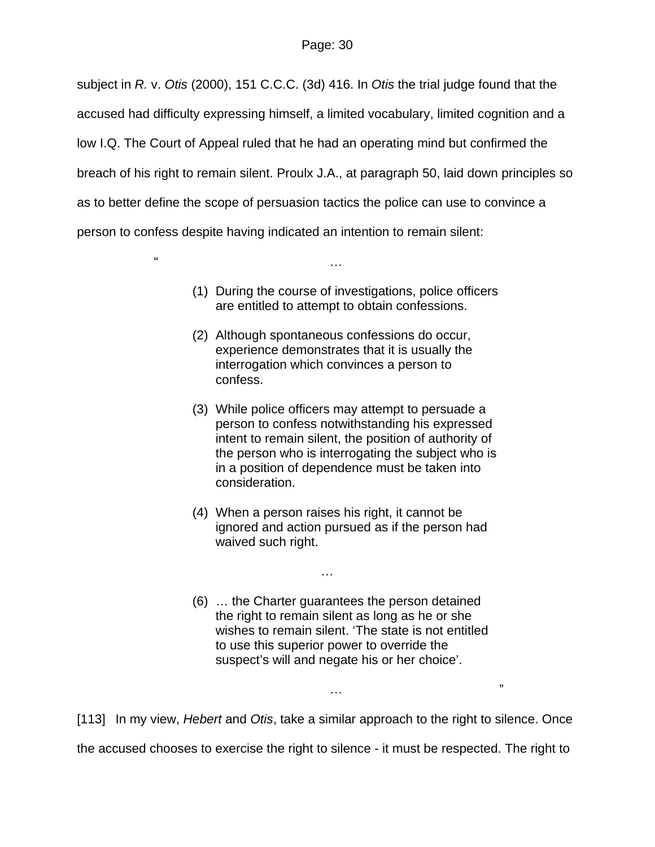subject in *R.* v. *Otis* (2000), 151 C.C.C. (3d) 416. In *Otis* the trial judge found that the accused had difficulty expressing himself, a limited vocabulary, limited cognition and a low I.Q. The Court of Appeal ruled that he had an operating mind but confirmed the breach of his right to remain silent. Proulx J.A., at paragraph 50, laid down principles so as to better define the scope of persuasion tactics the police can use to convince a person to confess despite having indicated an intention to remain silent:

 $\mathbf{r}$  is the contract of the contract of the contract of the contract of the contract of the contract of the contract of the contract of the contract of the contract of the contract of the contract of the contract of t

- (1) During the course of investigations, police officers are entitled to attempt to obtain confessions.
- (2) Although spontaneous confessions do occur, experience demonstrates that it is usually the interrogation which convinces a person to confess.
- (3) While police officers may attempt to persuade a person to confess notwithstanding his expressed intent to remain silent, the position of authority of the person who is interrogating the subject who is in a position of dependence must be taken into consideration.
- (4) When a person raises his right, it cannot be ignored and action pursued as if the person had waived such right.

…

(6) … the Charter guarantees the person detained the right to remain silent as long as he or she wishes to remain silent. 'The state is not entitled to use this superior power to override the suspect's will and negate his or her choice'.

[113] In my view, *Hebert* and *Otis*, take a similar approach to the right to silence. Once the accused chooses to exercise the right to silence - it must be respected. The right to

 $\mathcal{L}$  . The contract of the contract of the contract of the contract of the contract of the contract of the contract of the contract of the contract of the contract of the contract of the contract of the contract of th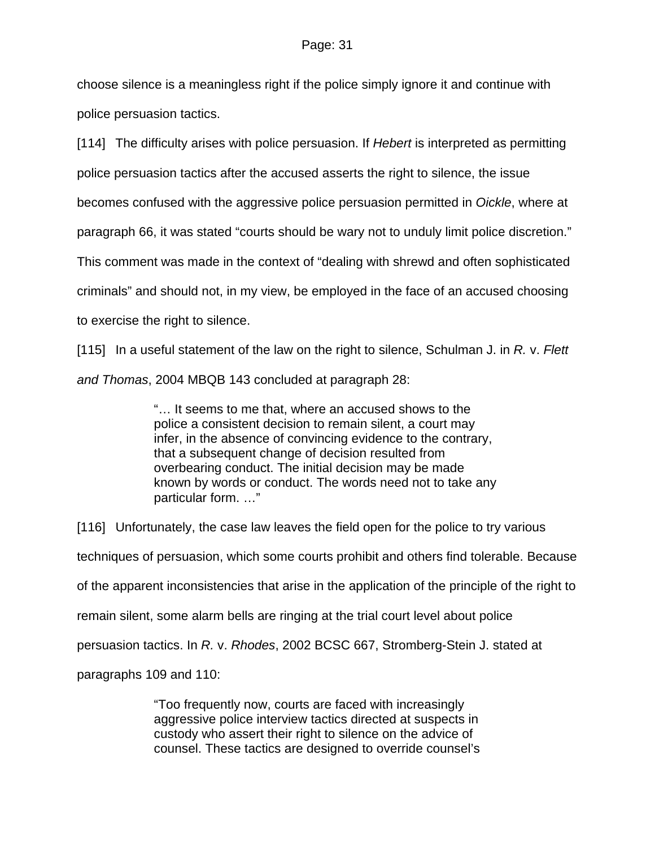choose silence is a meaningless right if the police simply ignore it and continue with police persuasion tactics.

[114] The difficulty arises with police persuasion. If *Hebert* is interpreted as permitting police persuasion tactics after the accused asserts the right to silence, the issue becomes confused with the aggressive police persuasion permitted in *Oickle*, where at paragraph 66, it was stated "courts should be wary not to unduly limit police discretion." This comment was made in the context of "dealing with shrewd and often sophisticated criminals" and should not, in my view, be employed in the face of an accused choosing to exercise the right to silence.

[115] In a useful statement of the law on the right to silence, Schulman J. in *R.* v. *Flett and Thomas*, 2004 MBQB 143 concluded at paragraph 28:

> "… It seems to me that, where an accused shows to the police a consistent decision to remain silent, a court may infer, in the absence of convincing evidence to the contrary, that a subsequent change of decision resulted from overbearing conduct. The initial decision may be made known by words or conduct. The words need not to take any particular form. …"

[116] Unfortunately, the case law leaves the field open for the police to try various techniques of persuasion, which some courts prohibit and others find tolerable. Because of the apparent inconsistencies that arise in the application of the principle of the right to remain silent, some alarm bells are ringing at the trial court level about police persuasion tactics. In *R.* v. *Rhodes*, 2002 BCSC 667, Stromberg-Stein J. stated at paragraphs 109 and 110:

> "Too frequently now, courts are faced with increasingly aggressive police interview tactics directed at suspects in custody who assert their right to silence on the advice of counsel. These tactics are designed to override counsel's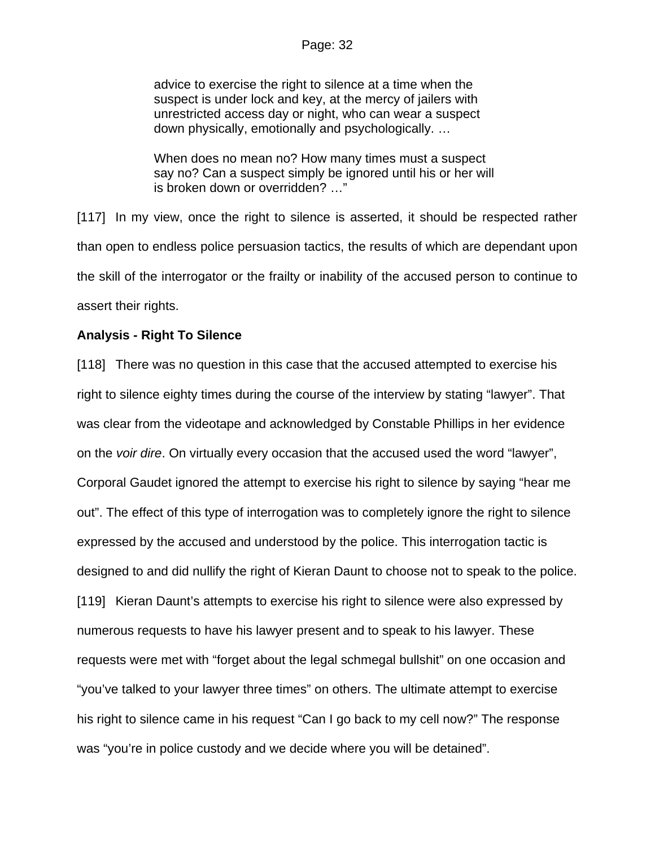advice to exercise the right to silence at a time when the suspect is under lock and key, at the mercy of jailers with unrestricted access day or night, who can wear a suspect down physically, emotionally and psychologically. …

When does no mean no? How many times must a suspect say no? Can a suspect simply be ignored until his or her will is broken down or overridden? …"

[117] In my view, once the right to silence is asserted, it should be respected rather than open to endless police persuasion tactics, the results of which are dependant upon the skill of the interrogator or the frailty or inability of the accused person to continue to assert their rights.

# **Analysis - Right To Silence**

[118] There was no question in this case that the accused attempted to exercise his right to silence eighty times during the course of the interview by stating "lawyer". That was clear from the videotape and acknowledged by Constable Phillips in her evidence on the *voir dire*. On virtually every occasion that the accused used the word "lawyer", Corporal Gaudet ignored the attempt to exercise his right to silence by saying "hear me out". The effect of this type of interrogation was to completely ignore the right to silence expressed by the accused and understood by the police. This interrogation tactic is designed to and did nullify the right of Kieran Daunt to choose not to speak to the police. [119] Kieran Daunt's attempts to exercise his right to silence were also expressed by numerous requests to have his lawyer present and to speak to his lawyer. These requests were met with "forget about the legal schmegal bullshit" on one occasion and "you've talked to your lawyer three times" on others. The ultimate attempt to exercise his right to silence came in his request "Can I go back to my cell now?" The response was "you're in police custody and we decide where you will be detained".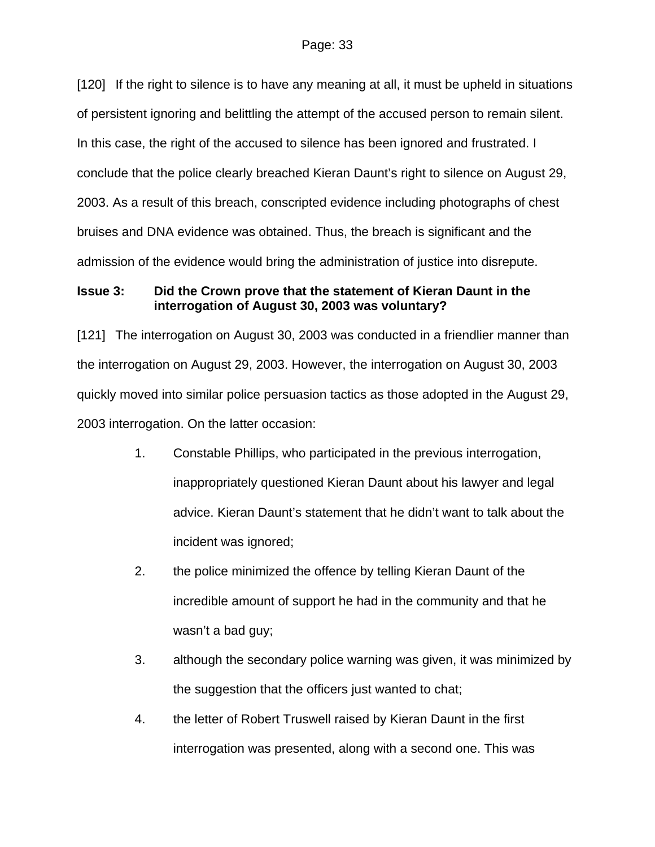[120] If the right to silence is to have any meaning at all, it must be upheld in situations of persistent ignoring and belittling the attempt of the accused person to remain silent. In this case, the right of the accused to silence has been ignored and frustrated. I conclude that the police clearly breached Kieran Daunt's right to silence on August 29, 2003. As a result of this breach, conscripted evidence including photographs of chest bruises and DNA evidence was obtained. Thus, the breach is significant and the admission of the evidence would bring the administration of justice into disrepute.

# **Issue 3: Did the Crown prove that the statement of Kieran Daunt in the interrogation of August 30, 2003 was voluntary?**

[121] The interrogation on August 30, 2003 was conducted in a friendlier manner than the interrogation on August 29, 2003. However, the interrogation on August 30, 2003 quickly moved into similar police persuasion tactics as those adopted in the August 29, 2003 interrogation. On the latter occasion:

- 1. Constable Phillips, who participated in the previous interrogation, inappropriately questioned Kieran Daunt about his lawyer and legal advice. Kieran Daunt's statement that he didn't want to talk about the incident was ignored;
- 2. the police minimized the offence by telling Kieran Daunt of the incredible amount of support he had in the community and that he wasn't a bad guy;
- 3. although the secondary police warning was given, it was minimized by the suggestion that the officers just wanted to chat;
- 4. the letter of Robert Truswell raised by Kieran Daunt in the first interrogation was presented, along with a second one. This was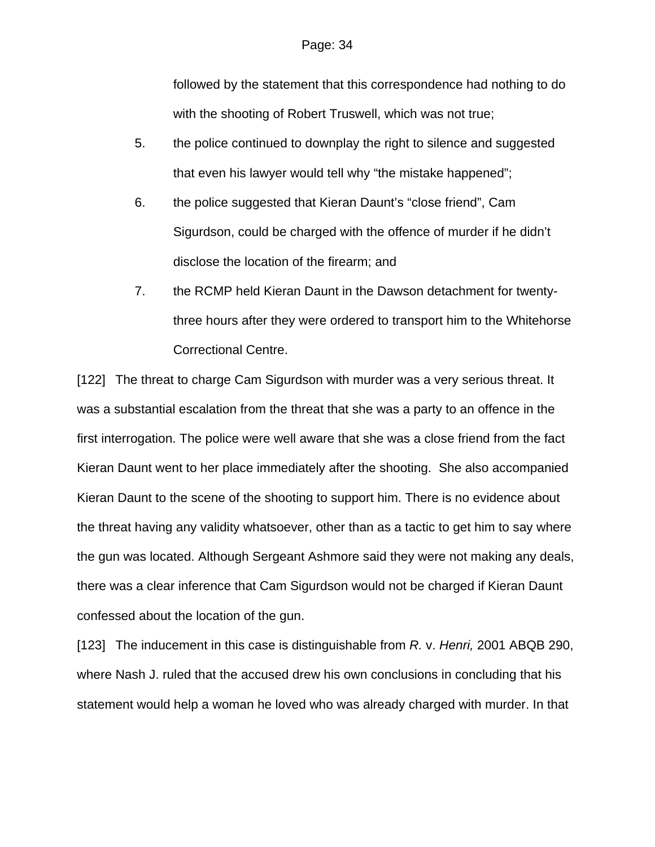followed by the statement that this correspondence had nothing to do with the shooting of Robert Truswell, which was not true;

- 5. the police continued to downplay the right to silence and suggested that even his lawyer would tell why "the mistake happened";
- 6. the police suggested that Kieran Daunt's "close friend", Cam Sigurdson, could be charged with the offence of murder if he didn't disclose the location of the firearm; and
- 7. the RCMP held Kieran Daunt in the Dawson detachment for twentythree hours after they were ordered to transport him to the Whitehorse Correctional Centre.

[122] The threat to charge Cam Sigurdson with murder was a very serious threat. It was a substantial escalation from the threat that she was a party to an offence in the first interrogation. The police were well aware that she was a close friend from the fact Kieran Daunt went to her place immediately after the shooting. She also accompanied Kieran Daunt to the scene of the shooting to support him. There is no evidence about the threat having any validity whatsoever, other than as a tactic to get him to say where the gun was located. Although Sergeant Ashmore said they were not making any deals, there was a clear inference that Cam Sigurdson would not be charged if Kieran Daunt confessed about the location of the gun.

[123] The inducement in this case is distinguishable from *R.* v. *Henri,* 2001 ABQB 290, where Nash J. ruled that the accused drew his own conclusions in concluding that his statement would help a woman he loved who was already charged with murder. In that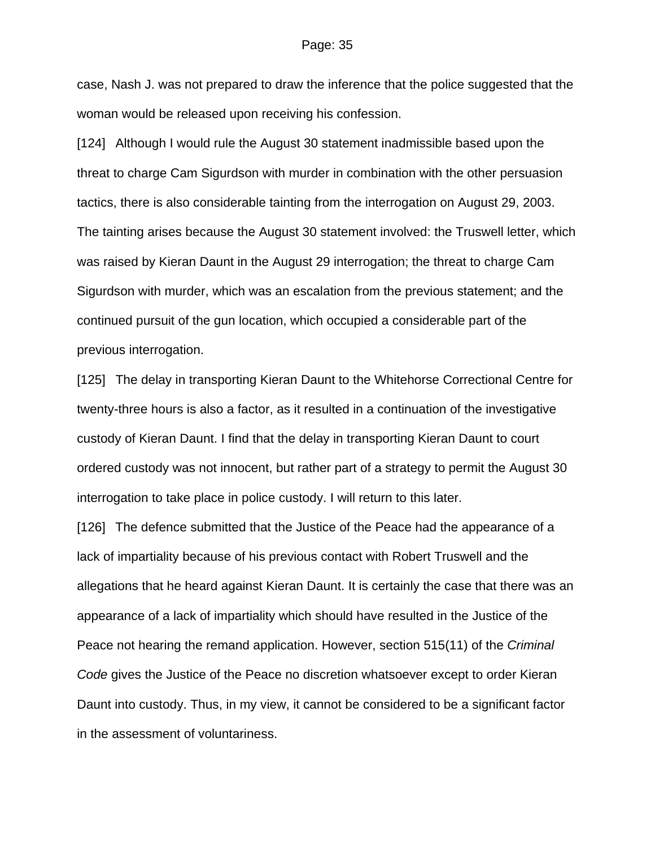case, Nash J. was not prepared to draw the inference that the police suggested that the woman would be released upon receiving his confession.

[124] Although I would rule the August 30 statement inadmissible based upon the threat to charge Cam Sigurdson with murder in combination with the other persuasion tactics, there is also considerable tainting from the interrogation on August 29, 2003. The tainting arises because the August 30 statement involved: the Truswell letter, which was raised by Kieran Daunt in the August 29 interrogation; the threat to charge Cam Sigurdson with murder, which was an escalation from the previous statement; and the continued pursuit of the gun location, which occupied a considerable part of the previous interrogation.

[125] The delay in transporting Kieran Daunt to the Whitehorse Correctional Centre for twenty-three hours is also a factor, as it resulted in a continuation of the investigative custody of Kieran Daunt. I find that the delay in transporting Kieran Daunt to court ordered custody was not innocent, but rather part of a strategy to permit the August 30 interrogation to take place in police custody. I will return to this later.

[126] The defence submitted that the Justice of the Peace had the appearance of a lack of impartiality because of his previous contact with Robert Truswell and the allegations that he heard against Kieran Daunt. It is certainly the case that there was an appearance of a lack of impartiality which should have resulted in the Justice of the Peace not hearing the remand application. However, section 515(11) of the *Criminal Code* gives the Justice of the Peace no discretion whatsoever except to order Kieran Daunt into custody. Thus, in my view, it cannot be considered to be a significant factor in the assessment of voluntariness.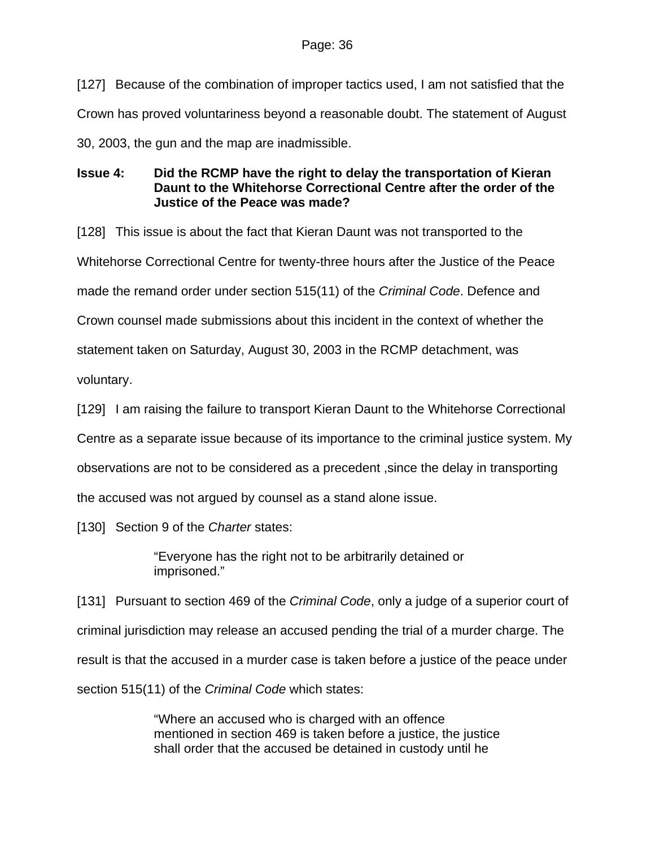[127] Because of the combination of improper tactics used, I am not satisfied that the Crown has proved voluntariness beyond a reasonable doubt. The statement of August 30, 2003, the gun and the map are inadmissible.

# **Issue 4: Did the RCMP have the right to delay the transportation of Kieran Daunt to the Whitehorse Correctional Centre after the order of the Justice of the Peace was made?**

[128] This issue is about the fact that Kieran Daunt was not transported to the Whitehorse Correctional Centre for twenty-three hours after the Justice of the Peace made the remand order under section 515(11) of the *Criminal Code*. Defence and Crown counsel made submissions about this incident in the context of whether the statement taken on Saturday, August 30, 2003 in the RCMP detachment, was voluntary.

[129] I am raising the failure to transport Kieran Daunt to the Whitehorse Correctional

Centre as a separate issue because of its importance to the criminal justice system. My

observations are not to be considered as a precedent ,since the delay in transporting

the accused was not argued by counsel as a stand alone issue.

[130] Section 9 of the *Charter* states:

"Everyone has the right not to be arbitrarily detained or imprisoned."

[131] Pursuant to section 469 of the *Criminal Code*, only a judge of a superior court of criminal jurisdiction may release an accused pending the trial of a murder charge. The result is that the accused in a murder case is taken before a justice of the peace under section 515(11) of the *Criminal Code* which states:

> "Where an accused who is charged with an offence mentioned in section 469 is taken before a justice, the justice shall order that the accused be detained in custody until he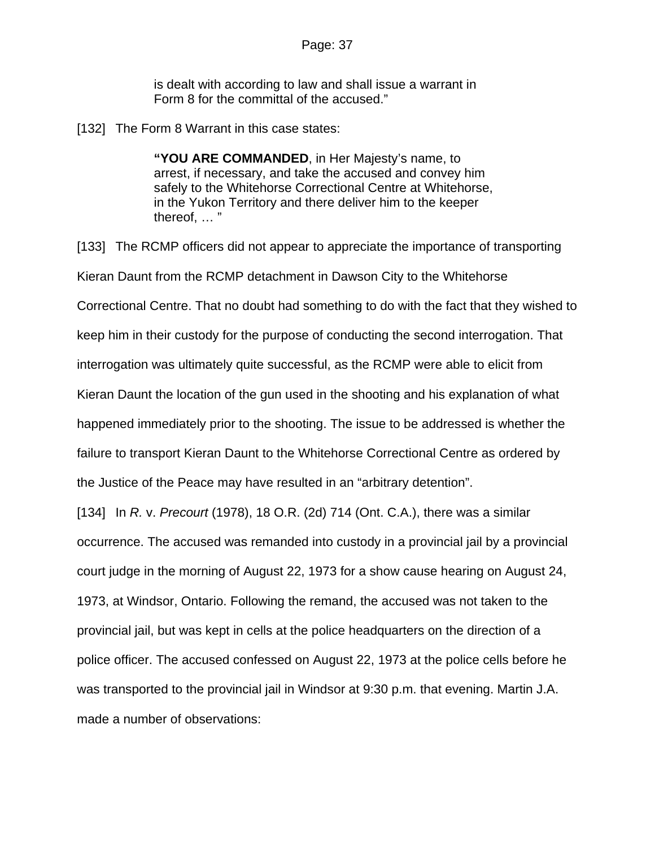is dealt with according to law and shall issue a warrant in Form 8 for the committal of the accused."

[132] The Form 8 Warrant in this case states:

**"YOU ARE COMMANDED**, in Her Majesty's name, to arrest, if necessary, and take the accused and convey him safely to the Whitehorse Correctional Centre at Whitehorse, in the Yukon Territory and there deliver him to the keeper thereof, … "

[133] The RCMP officers did not appear to appreciate the importance of transporting Kieran Daunt from the RCMP detachment in Dawson City to the Whitehorse Correctional Centre. That no doubt had something to do with the fact that they wished to keep him in their custody for the purpose of conducting the second interrogation. That interrogation was ultimately quite successful, as the RCMP were able to elicit from Kieran Daunt the location of the gun used in the shooting and his explanation of what happened immediately prior to the shooting. The issue to be addressed is whether the failure to transport Kieran Daunt to the Whitehorse Correctional Centre as ordered by the Justice of the Peace may have resulted in an "arbitrary detention". [134] In *R.* v. *Precourt* (1978), 18 O.R. (2d) 714 (Ont. C.A.), there was a similar occurrence. The accused was remanded into custody in a provincial jail by a provincial

court judge in the morning of August 22, 1973 for a show cause hearing on August 24,

1973, at Windsor, Ontario. Following the remand, the accused was not taken to the provincial jail, but was kept in cells at the police headquarters on the direction of a police officer. The accused confessed on August 22, 1973 at the police cells before he was transported to the provincial jail in Windsor at 9:30 p.m. that evening. Martin J.A. made a number of observations: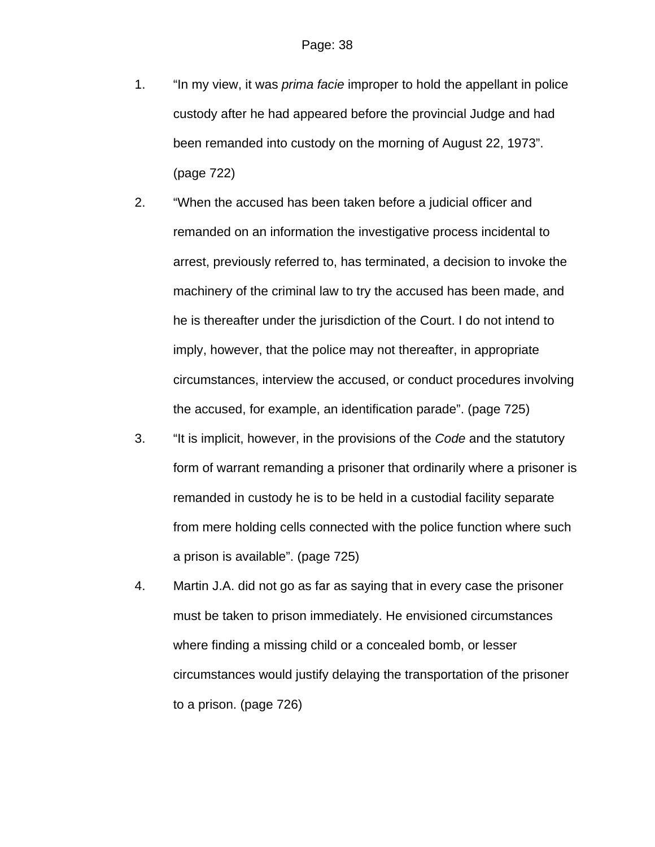- 1. "In my view, it was *prima facie* improper to hold the appellant in police custody after he had appeared before the provincial Judge and had been remanded into custody on the morning of August 22, 1973". (page 722)
- 2. "When the accused has been taken before a judicial officer and remanded on an information the investigative process incidental to arrest, previously referred to, has terminated, a decision to invoke the machinery of the criminal law to try the accused has been made, and he is thereafter under the jurisdiction of the Court. I do not intend to imply, however, that the police may not thereafter, in appropriate circumstances, interview the accused, or conduct procedures involving the accused, for example, an identification parade". (page 725)
- 3. "It is implicit, however, in the provisions of the *Code* and the statutory form of warrant remanding a prisoner that ordinarily where a prisoner is remanded in custody he is to be held in a custodial facility separate from mere holding cells connected with the police function where such a prison is available". (page 725)
- 4. Martin J.A. did not go as far as saying that in every case the prisoner must be taken to prison immediately. He envisioned circumstances where finding a missing child or a concealed bomb, or lesser circumstances would justify delaying the transportation of the prisoner to a prison. (page 726)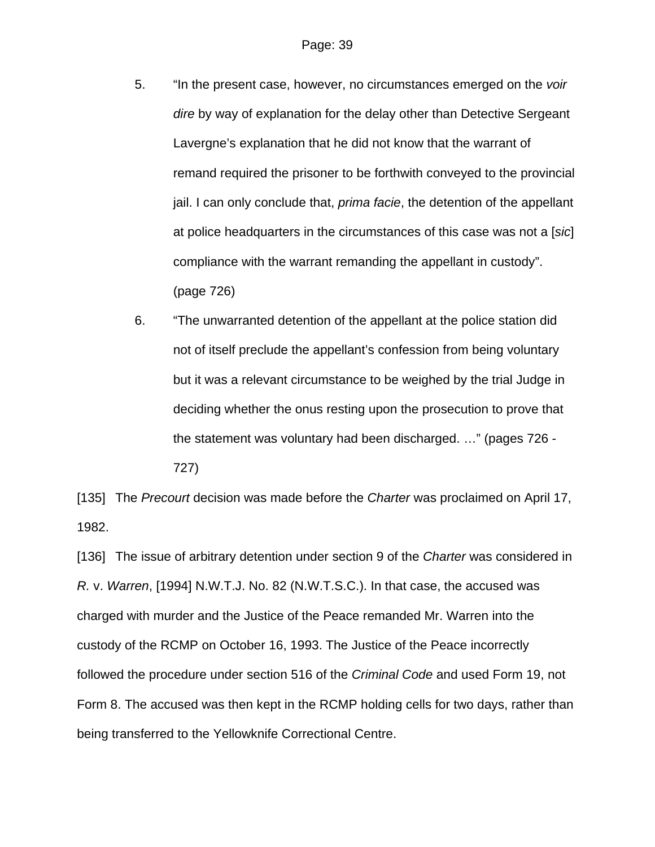- 5. "In the present case, however, no circumstances emerged on the *voir dire* by way of explanation for the delay other than Detective Sergeant Lavergne's explanation that he did not know that the warrant of remand required the prisoner to be forthwith conveyed to the provincial jail. I can only conclude that, *prima facie*, the detention of the appellant at police headquarters in the circumstances of this case was not a [*sic*] compliance with the warrant remanding the appellant in custody". (page 726)
- 6. "The unwarranted detention of the appellant at the police station did not of itself preclude the appellant's confession from being voluntary but it was a relevant circumstance to be weighed by the trial Judge in deciding whether the onus resting upon the prosecution to prove that the statement was voluntary had been discharged. …" (pages 726 - 727)

[135] The *Precourt* decision was made before the *Charter* was proclaimed on April 17, 1982.

[136] The issue of arbitrary detention under section 9 of the *Charter* was considered in *R.* v. *Warren*, [1994] N.W.T.J. No. 82 (N.W.T.S.C.). In that case, the accused was charged with murder and the Justice of the Peace remanded Mr. Warren into the custody of the RCMP on October 16, 1993. The Justice of the Peace incorrectly followed the procedure under section 516 of the *Criminal Code* and used Form 19, not Form 8. The accused was then kept in the RCMP holding cells for two days, rather than being transferred to the Yellowknife Correctional Centre.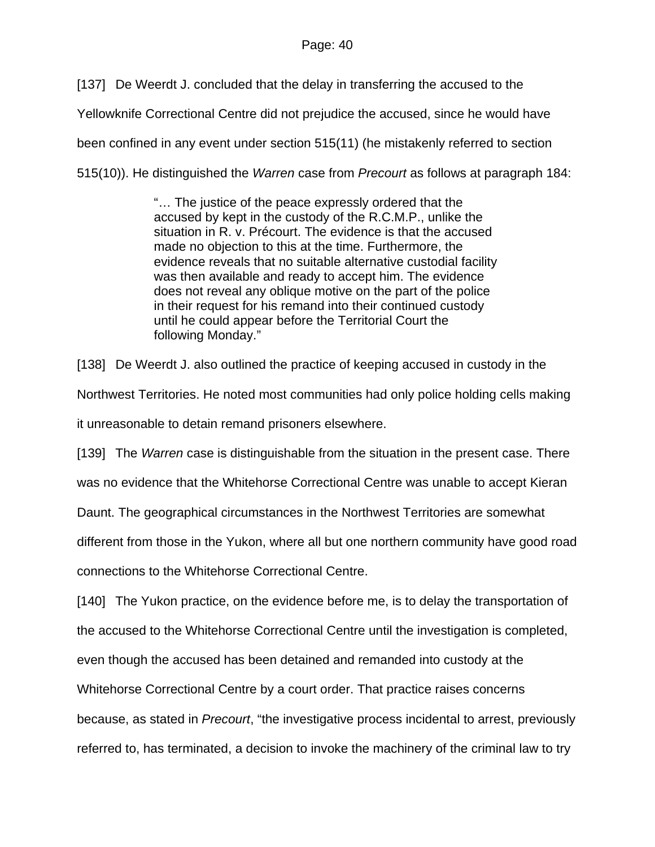[137] De Weerdt J. concluded that the delay in transferring the accused to the

Yellowknife Correctional Centre did not prejudice the accused, since he would have

been confined in any event under section 515(11) (he mistakenly referred to section

515(10)). He distinguished the *Warren* case from *Precourt* as follows at paragraph 184:

"… The justice of the peace expressly ordered that the accused by kept in the custody of the R.C.M.P., unlike the situation in R. v. Précourt. The evidence is that the accused made no objection to this at the time. Furthermore, the evidence reveals that no suitable alternative custodial facility was then available and ready to accept him. The evidence does not reveal any oblique motive on the part of the police in their request for his remand into their continued custody until he could appear before the Territorial Court the following Monday."

[138] De Weerdt J. also outlined the practice of keeping accused in custody in the Northwest Territories. He noted most communities had only police holding cells making it unreasonable to detain remand prisoners elsewhere.

[139] The *Warren* case is distinguishable from the situation in the present case. There was no evidence that the Whitehorse Correctional Centre was unable to accept Kieran Daunt. The geographical circumstances in the Northwest Territories are somewhat different from those in the Yukon, where all but one northern community have good road connections to the Whitehorse Correctional Centre.

[140] The Yukon practice, on the evidence before me, is to delay the transportation of the accused to the Whitehorse Correctional Centre until the investigation is completed, even though the accused has been detained and remanded into custody at the Whitehorse Correctional Centre by a court order. That practice raises concerns because, as stated in *Precourt*, "the investigative process incidental to arrest, previously referred to, has terminated, a decision to invoke the machinery of the criminal law to try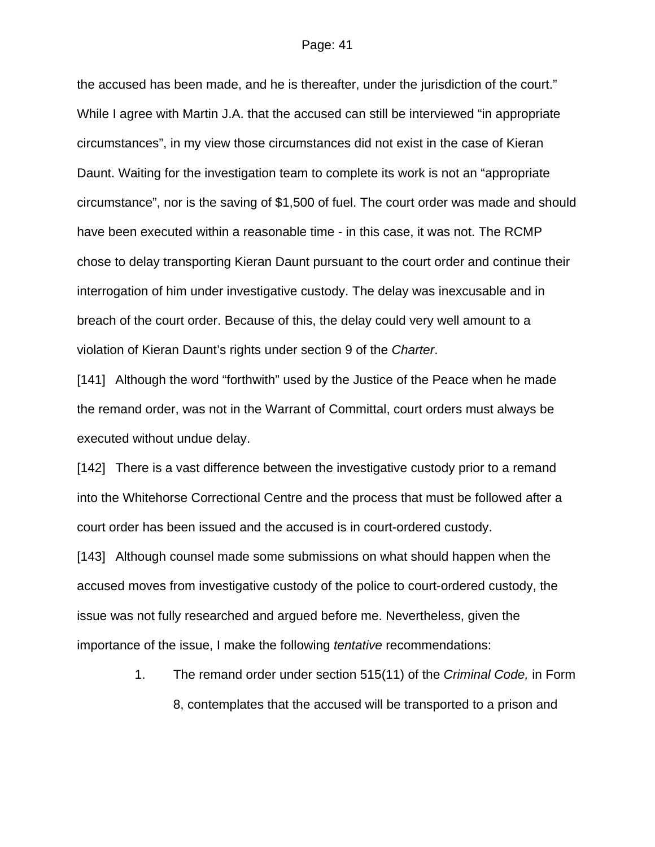the accused has been made, and he is thereafter, under the jurisdiction of the court." While I agree with Martin J.A. that the accused can still be interviewed "in appropriate circumstances", in my view those circumstances did not exist in the case of Kieran Daunt. Waiting for the investigation team to complete its work is not an "appropriate circumstance", nor is the saving of \$1,500 of fuel. The court order was made and should have been executed within a reasonable time - in this case, it was not. The RCMP chose to delay transporting Kieran Daunt pursuant to the court order and continue their interrogation of him under investigative custody. The delay was inexcusable and in breach of the court order. Because of this, the delay could very well amount to a violation of Kieran Daunt's rights under section 9 of the *Charter*.

[141] Although the word "forthwith" used by the Justice of the Peace when he made the remand order, was not in the Warrant of Committal, court orders must always be executed without undue delay.

[142] There is a vast difference between the investigative custody prior to a remand into the Whitehorse Correctional Centre and the process that must be followed after a court order has been issued and the accused is in court-ordered custody.

[143] Although counsel made some submissions on what should happen when the accused moves from investigative custody of the police to court-ordered custody, the issue was not fully researched and argued before me. Nevertheless, given the importance of the issue, I make the following *tentative* recommendations:

> 1. The remand order under section 515(11) of the *Criminal Code,* in Form 8, contemplates that the accused will be transported to a prison and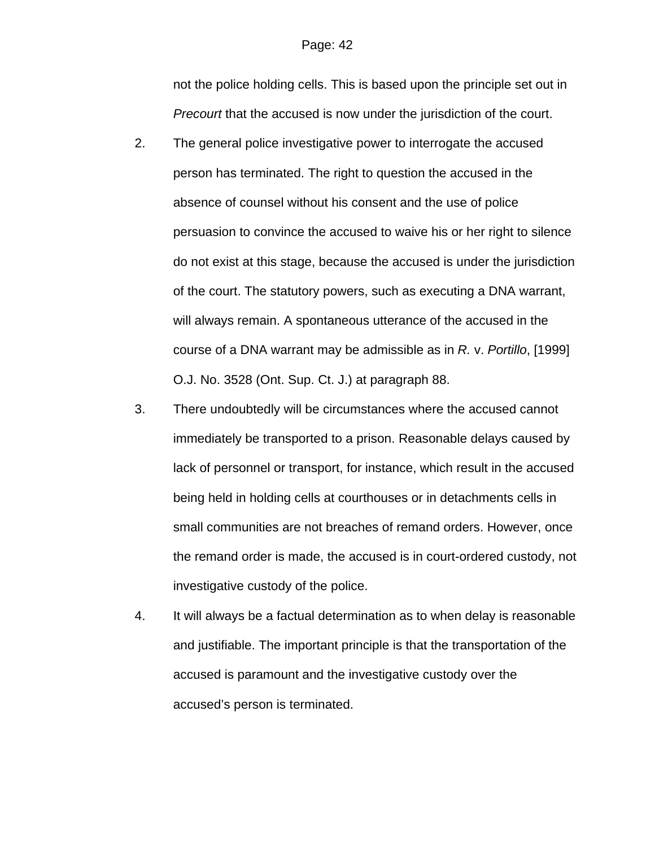not the police holding cells. This is based upon the principle set out in *Precourt* that the accused is now under the jurisdiction of the court.

- 2. The general police investigative power to interrogate the accused person has terminated. The right to question the accused in the absence of counsel without his consent and the use of police persuasion to convince the accused to waive his or her right to silence do not exist at this stage, because the accused is under the jurisdiction of the court. The statutory powers, such as executing a DNA warrant, will always remain. A spontaneous utterance of the accused in the course of a DNA warrant may be admissible as in *R.* v. *Portillo*, [1999] O.J. No. 3528 (Ont. Sup. Ct. J.) at paragraph 88.
- 3. There undoubtedly will be circumstances where the accused cannot immediately be transported to a prison. Reasonable delays caused by lack of personnel or transport, for instance, which result in the accused being held in holding cells at courthouses or in detachments cells in small communities are not breaches of remand orders. However, once the remand order is made, the accused is in court-ordered custody, not investigative custody of the police.
- 4. It will always be a factual determination as to when delay is reasonable and justifiable. The important principle is that the transportation of the accused is paramount and the investigative custody over the accused's person is terminated.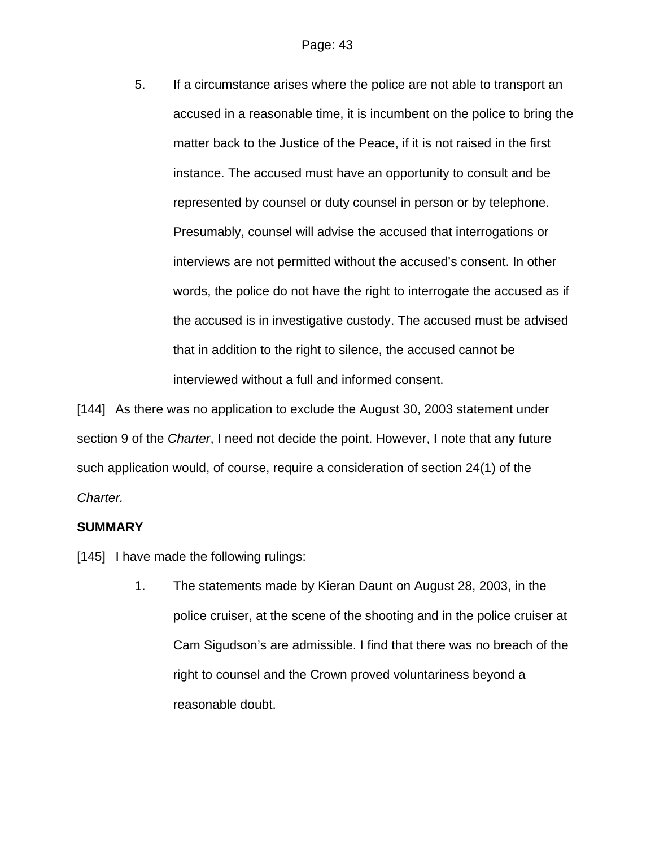5. If a circumstance arises where the police are not able to transport an accused in a reasonable time, it is incumbent on the police to bring the matter back to the Justice of the Peace, if it is not raised in the first instance. The accused must have an opportunity to consult and be represented by counsel or duty counsel in person or by telephone. Presumably, counsel will advise the accused that interrogations or interviews are not permitted without the accused's consent. In other words, the police do not have the right to interrogate the accused as if the accused is in investigative custody. The accused must be advised that in addition to the right to silence, the accused cannot be interviewed without a full and informed consent.

[144] As there was no application to exclude the August 30, 2003 statement under section 9 of the *Charter*, I need not decide the point. However, I note that any future such application would, of course, require a consideration of section 24(1) of the *Charter.*

## **SUMMARY**

[145] I have made the following rulings:

1. The statements made by Kieran Daunt on August 28, 2003, in the police cruiser, at the scene of the shooting and in the police cruiser at Cam Sigudson's are admissible. I find that there was no breach of the right to counsel and the Crown proved voluntariness beyond a reasonable doubt.